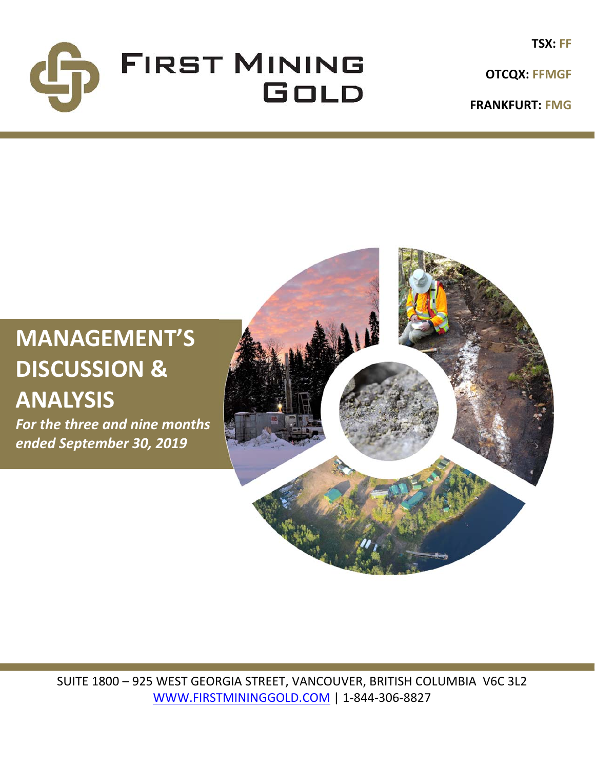

**TSX: FF**

**FRANKFURT: FMG**

# **MANAGEMENT'S DISCUSSION & ANALYSIS**

*For the three and nine months ended September 30, 2019*



SUITE 1800 – 925 WEST GEORGIA STREET, VANCOUVER, BRITISH COLUMBIA V6C 3L2 WWW.FIRSTMININGGOLD.COM | 1‐844‐306‐8827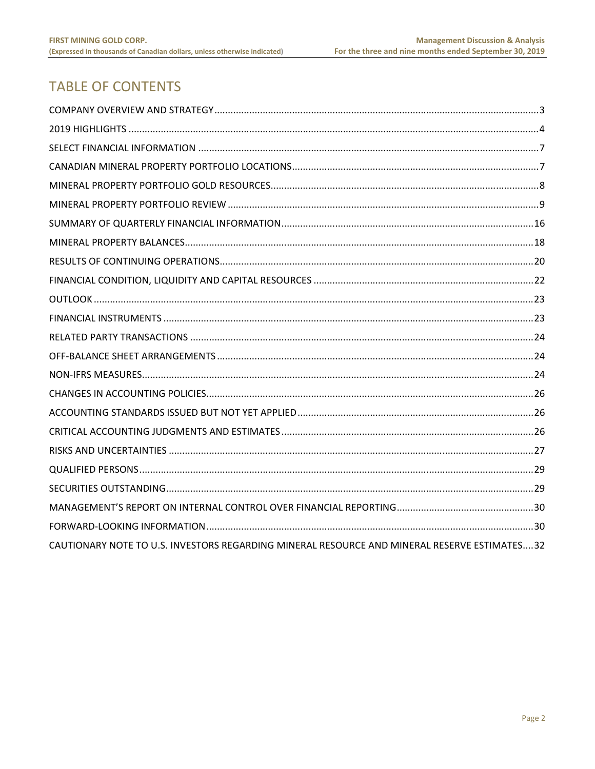# **TABLE OF CONTENTS**

| CAUTIONARY NOTE TO U.S. INVESTORS REGARDING MINERAL RESOURCE AND MINERAL RESERVE ESTIMATES32 |  |
|----------------------------------------------------------------------------------------------|--|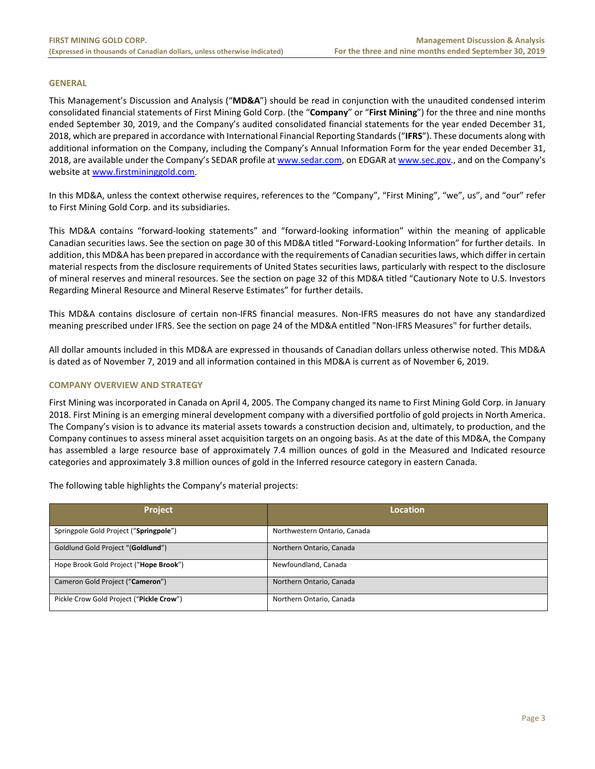#### **GENERAL**

This Management's Discussion and Analysis ("**MD&A**") should be read in conjunction with the unaudited condensed interim consolidated financial statements of First Mining Gold Corp. (the "**Company**" or "**First Mining**") for the three and nine months ended September 30, 2019, and the Company's audited consolidated financial statements for the year ended December 31, 2018, which are prepared in accordance with International Financial Reporting Standards ("**IFRS**"). These documents along with additional information on the Company, including the Company's Annual Information Form for the year ended December 31, 2018, are available under the Company's SEDAR profile at www.sedar.com, on EDGAR at www.sec.gov., and on the Company's website at www.firstmininggold.com.

In this MD&A, unless the context otherwise requires, references to the "Company", "First Mining", "we", us", and "our" refer to First Mining Gold Corp. and its subsidiaries.

This MD&A contains "forward‐looking statements" and "forward‐looking information" within the meaning of applicable Canadian securities laws. See the section on page 30 of this MD&A titled "Forward‐Looking Information" for further details. In addition, this MD&A has been prepared in accordance with the requirements of Canadian securities laws, which differ in certain material respects from the disclosure requirements of United States securities laws, particularly with respect to the disclosure of mineral reserves and mineral resources. See the section on page 32 of this MD&A titled "Cautionary Note to U.S. Investors Regarding Mineral Resource and Mineral Reserve Estimates" for further details.

This MD&A contains disclosure of certain non‐IFRS financial measures. Non‐IFRS measures do not have any standardized meaning prescribed under IFRS. See the section on page 24 of the MD&A entitled "Non-IFRS Measures" for further details.

All dollar amounts included in this MD&A are expressed in thousands of Canadian dollars unless otherwise noted. This MD&A is dated as of November 7, 2019 and all information contained in this MD&A is current as of November 6, 2019.

#### **COMPANY OVERVIEW AND STRATEGY**

First Mining was incorporated in Canada on April 4, 2005. The Company changed its name to First Mining Gold Corp. in January 2018. First Mining is an emerging mineral development company with a diversified portfolio of gold projects in North America. The Company's vision is to advance its material assets towards a construction decision and, ultimately, to production, and the Company continues to assess mineral asset acquisition targets on an ongoing basis. As at the date of this MD&A, the Company has assembled a large resource base of approximately 7.4 million ounces of gold in the Measured and Indicated resource categories and approximately 3.8 million ounces of gold in the Inferred resource category in eastern Canada.

The following table highlights the Company's material projects:

| Project                                  | Location                     |
|------------------------------------------|------------------------------|
| Springpole Gold Project ("Springpole")   | Northwestern Ontario, Canada |
| Goldlund Gold Project "(Goldlund")       | Northern Ontario, Canada     |
| Hope Brook Gold Project ("Hope Brook")   | Newfoundland, Canada         |
| Cameron Gold Project ("Cameron")         | Northern Ontario, Canada     |
| Pickle Crow Gold Project ("Pickle Crow") | Northern Ontario, Canada     |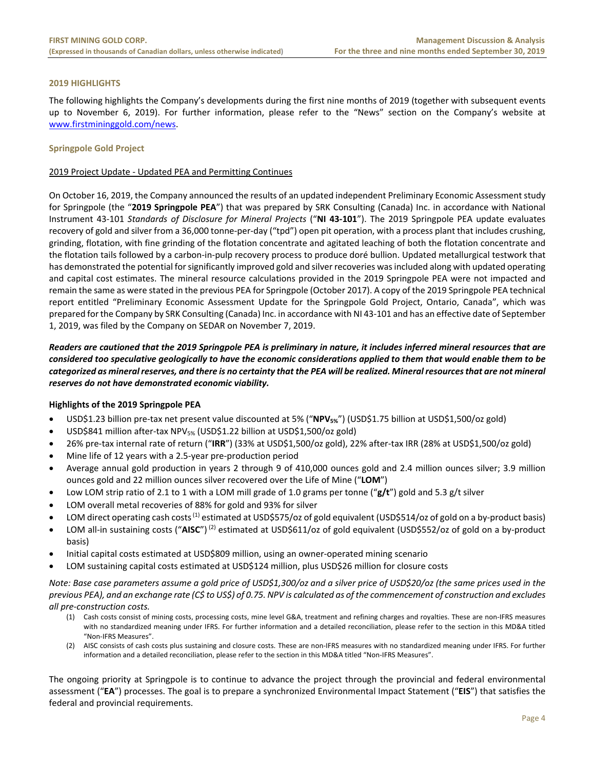# **2019 HIGHLIGHTS**

The following highlights the Company's developments during the first nine months of 2019 (together with subsequent events up to November 6, 2019). For further information, please refer to the "News" section on the Company's website at www.firstmininggold.com/news.

#### **Springpole Gold Project**

# 2019 Project Update ‐ Updated PEA and Permitting Continues

On October 16, 2019, the Company announced the results of an updated independent Preliminary Economic Assessment study for Springpole (the "**2019 Springpole PEA**") that was prepared by SRK Consulting (Canada) Inc. in accordance with National Instrument 43‐101 *Standards of Disclosure for Mineral Projects* ("**NI 43‐101**"). The 2019 Springpole PEA update evaluates recovery of gold and silver from a 36,000 tonne‐per‐day ("tpd") open pit operation, with a process plant that includes crushing, grinding, flotation, with fine grinding of the flotation concentrate and agitated leaching of both the flotation concentrate and the flotation tails followed by a carbon‐in‐pulp recovery process to produce doré bullion. Updated metallurgical testwork that has demonstrated the potential for significantly improved gold and silver recoveries was included along with updated operating and capital cost estimates. The mineral resource calculations provided in the 2019 Springpole PEA were not impacted and remain the same as were stated in the previous PEA for Springpole (October 2017). A copy of the 2019 Springpole PEA technical report entitled "Preliminary Economic Assessment Update for the Springpole Gold Project, Ontario, Canada", which was prepared for the Company by SRK Consulting (Canada) Inc. in accordance with NI 43‐101 and has an effective date of September 1, 2019, was filed by the Company on SEDAR on November 7, 2019.

# *Readers are cautioned that the 2019 Springpole PEA is preliminary in nature, it includes inferred mineral resources that are considered too speculative geologically to have the economic considerations applied to them that would enable them to be categorized as mineral reserves, and there is no certainty that the PEA will be realized. Mineral resources that are not mineral reserves do not have demonstrated economic viability.*

#### **Highlights of the 2019 Springpole PEA**

- USD\$1.23 billion pre‐tax net present value discounted at 5% ("**NPV5%**") (USD\$1.75 billion at USD\$1,500/oz gold)
- USD\$841 million after-tax NPV<sub>5%</sub> (USD\$1.22 billion at USD\$1,500/oz gold)
- 26% pre‐tax internal rate of return ("**IRR**") (33% at USD\$1,500/oz gold), 22% after‐tax IRR (28% at USD\$1,500/oz gold)
- Mine life of 12 years with a 2.5‐year pre‐production period
- Average annual gold production in years 2 through 9 of 410,000 ounces gold and 2.4 million ounces silver; 3.9 million ounces gold and 22 million ounces silver recovered over the Life of Mine ("**LOM**")
- Low LOM strip ratio of 2.1 to 1 with a LOM mill grade of 1.0 grams per tonne ("**g/t**") gold and 5.3 g/t silver
- LOM overall metal recoveries of 88% for gold and 93% for silver
- LOM direct operating cash costs<sup>(1)</sup> estimated at USD\$575/oz of gold equivalent (USD\$514/oz of gold on a by-product basis)
- LOM all-in sustaining costs ("AISC")<sup>(2)</sup> estimated at USD\$611/oz of gold equivalent (USD\$552/oz of gold on a by-product basis)
- Initial capital costs estimated at USD\$809 million, using an owner‐operated mining scenario
- LOM sustaining capital costs estimated at USD\$124 million, plus USD\$26 million for closure costs

*Note: Base case parameters assume a gold price of USD\$1,300/oz and a silver price of USD\$20/oz (the same prices used in the previous PEA), and an exchange rate (C\$ to US\$) of 0.75. NPV is calculated as of the commencement of construction and excludes all pre‐construction costs.* 

- (1) Cash costs consist of mining costs, processing costs, mine level G&A, treatment and refining charges and royalties. These are non‐IFRS measures with no standardized meaning under IFRS. For further information and a detailed reconciliation, please refer to the section in this MD&A titled "Non‐IFRS Measures".
- (2) AISC consists of cash costs plus sustaining and closure costs. These are non‐IFRS measures with no standardized meaning under IFRS. For further information and a detailed reconciliation, please refer to the section in this MD&A titled "Non‐IFRS Measures".

The ongoing priority at Springpole is to continue to advance the project through the provincial and federal environmental assessment ("**EA**") processes. The goal is to prepare a synchronized Environmental Impact Statement ("**EIS**") that satisfies the federal and provincial requirements.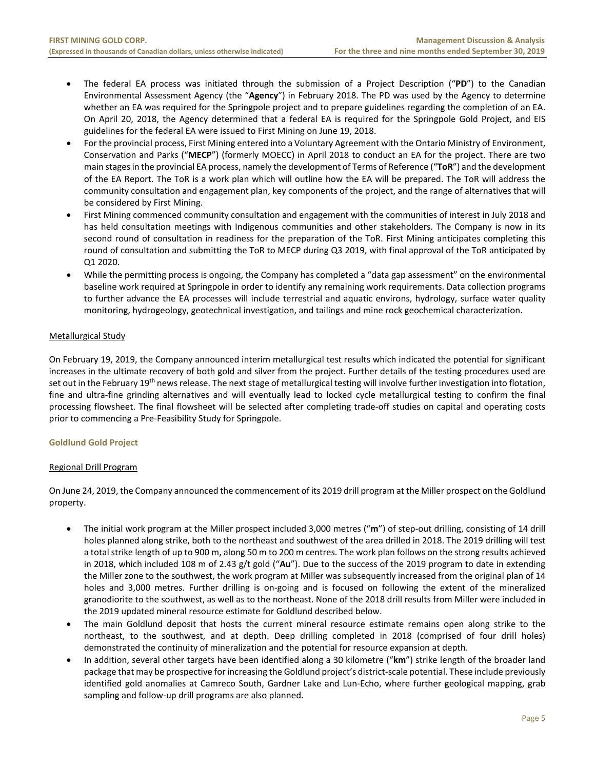- The federal EA process was initiated through the submission of a Project Description ("PD") to the Canadian Environmental Assessment Agency (the "**Agency**") in February 2018. The PD was used by the Agency to determine whether an EA was required for the Springpole project and to prepare guidelines regarding the completion of an EA. On April 20, 2018, the Agency determined that a federal EA is required for the Springpole Gold Project, and EIS guidelines for the federal EA were issued to First Mining on June 19, 2018.
- For the provincial process, First Mining entered into a Voluntary Agreement with the Ontario Ministry of Environment, Conservation and Parks ("**MECP**") (formerly MOECC) in April 2018 to conduct an EA for the project. There are two main stages in the provincial EA process, namely the development of Terms of Reference ("**ToR**") and the development of the EA Report. The ToR is a work plan which will outline how the EA will be prepared. The ToR will address the community consultation and engagement plan, key components of the project, and the range of alternatives that will be considered by First Mining.
- First Mining commenced community consultation and engagement with the communities of interest in July 2018 and has held consultation meetings with Indigenous communities and other stakeholders. The Company is now in its second round of consultation in readiness for the preparation of the ToR. First Mining anticipates completing this round of consultation and submitting the ToR to MECP during Q3 2019, with final approval of the ToR anticipated by Q1 2020.
- While the permitting process is ongoing, the Company has completed a "data gap assessment" on the environmental baseline work required at Springpole in order to identify any remaining work requirements. Data collection programs to further advance the EA processes will include terrestrial and aquatic environs, hydrology, surface water quality monitoring, hydrogeology, geotechnical investigation, and tailings and mine rock geochemical characterization.

# Metallurgical Study

On February 19, 2019, the Company announced interim metallurgical test results which indicated the potential for significant increases in the ultimate recovery of both gold and silver from the project. Further details of the testing procedures used are set out in the February 19<sup>th</sup> news release. The next stage of metallurgical testing will involve further investigation into flotation, fine and ultra-fine grinding alternatives and will eventually lead to locked cycle metallurgical testing to confirm the final processing flowsheet. The final flowsheet will be selected after completing trade‐off studies on capital and operating costs prior to commencing a Pre‐Feasibility Study for Springpole.

# **Goldlund Gold Project**

# Regional Drill Program

On June 24, 2019, the Company announced the commencement of its 2019 drill program at the Miller prospect on the Goldlund property.

- The initial work program at the Miller prospect included 3,000 metres ("m") of step-out drilling, consisting of 14 drill holes planned along strike, both to the northeast and southwest of the area drilled in 2018. The 2019 drilling will test a total strike length of up to 900 m, along 50 m to 200 m centres. The work plan follows on the strong results achieved in 2018, which included 108 m of 2.43 g/t gold ("**Au**"). Due to the success of the 2019 program to date in extending the Miller zone to the southwest, the work program at Miller was subsequently increased from the original plan of 14 holes and 3,000 metres. Further drilling is on-going and is focused on following the extent of the mineralized granodiorite to the southwest, as well as to the northeast. None of the 2018 drill results from Miller were included in the 2019 updated mineral resource estimate for Goldlund described below.
- The main Goldlund deposit that hosts the current mineral resource estimate remains open along strike to the northeast, to the southwest, and at depth. Deep drilling completed in 2018 (comprised of four drill holes) demonstrated the continuity of mineralization and the potential for resource expansion at depth.
- In addition, several other targets have been identified along a 30 kilometre ("**km**") strike length of the broader land package that may be prospective for increasing the Goldlund project's district-scale potential. These include previously identified gold anomalies at Camreco South, Gardner Lake and Lun‐Echo, where further geological mapping, grab sampling and follow-up drill programs are also planned.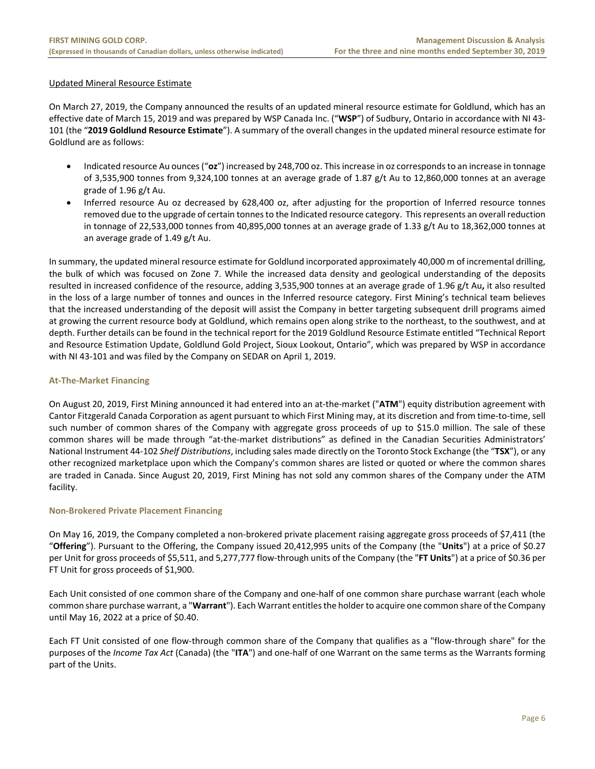# Updated Mineral Resource Estimate

On March 27, 2019, the Company announced the results of an updated mineral resource estimate for Goldlund, which has an effective date of March 15, 2019 and was prepared by WSP Canada Inc. ("**WSP**") of Sudbury, Ontario in accordance with NI 43‐ 101 (the "**2019 Goldlund Resource Estimate**"). A summary of the overall changes in the updated mineral resource estimate for Goldlund are as follows:

- Indicated resource Au ounces ("**oz**") increased by 248,700 oz. This increase in oz corresponds to an increase in tonnage of 3,535,900 tonnes from 9,324,100 tonnes at an average grade of 1.87 g/t Au to 12,860,000 tonnes at an average grade of 1.96 g/t Au.
- Inferred resource Au oz decreased by 628,400 oz, after adjusting for the proportion of Inferred resource tonnes removed due to the upgrade of certain tonnes to the Indicated resource category. This represents an overall reduction in tonnage of 22,533,000 tonnes from 40,895,000 tonnes at an average grade of 1.33 g/t Au to 18,362,000 tonnes at an average grade of 1.49 g/t Au.

In summary, the updated mineral resource estimate for Goldlund incorporated approximately 40,000 m of incremental drilling, the bulk of which was focused on Zone 7. While the increased data density and geological understanding of the deposits resulted in increased confidence of the resource, adding 3,535,900 tonnes at an average grade of 1.96 g/t Au**,** it also resulted in the loss of a large number of tonnes and ounces in the Inferred resource category. First Mining's technical team believes that the increased understanding of the deposit will assist the Company in better targeting subsequent drill programs aimed at growing the current resource body at Goldlund, which remains open along strike to the northeast, to the southwest, and at depth. Further details can be found in the technical report for the 2019 Goldlund Resource Estimate entitled "Technical Report and Resource Estimation Update, Goldlund Gold Project, Sioux Lookout, Ontario", which was prepared by WSP in accordance with NI 43‐101 and was filed by the Company on SEDAR on April 1, 2019.

# **At‐The‐Market Financing**

On August 20, 2019, First Mining announced it had entered into an at‐the‐market ("**ATM**") equity distribution agreement with Cantor Fitzgerald Canada Corporation as agent pursuant to which First Mining may, at its discretion and from time‐to‐time, sell such number of common shares of the Company with aggregate gross proceeds of up to \$15.0 million. The sale of these common shares will be made through "at-the-market distributions" as defined in the Canadian Securities Administrators' National Instrument 44‐102 *Shelf Distributions*, including sales made directly on the Toronto Stock Exchange (the "**TSX**"), or any other recognized marketplace upon which the Company's common shares are listed or quoted or where the common shares are traded in Canada. Since August 20, 2019, First Mining has not sold any common shares of the Company under the ATM facility.

# **Non‐Brokered Private Placement Financing**

On May 16, 2019, the Company completed a non-brokered private placement raising aggregate gross proceeds of \$7,411 (the "**Offering**"). Pursuant to the Offering, the Company issued 20,412,995 units of the Company (the "**Units**") at a price of \$0.27 per Unit for gross proceeds of \$5,511, and 5,277,777 flow‐through units of the Company (the "**FT Units**") at a price of \$0.36 per FT Unit for gross proceeds of \$1,900.

Each Unit consisted of one common share of the Company and one‐half of one common share purchase warrant (each whole common share purchase warrant, a "**Warrant**"). Each Warrant entitles the holder to acquire one common share of the Company until May 16, 2022 at a price of \$0.40.

Each FT Unit consisted of one flow-through common share of the Company that qualifies as a "flow-through share" for the purposes of the *Income Tax Act* (Canada) (the "**ITA**") and one‐half of one Warrant on the same terms as the Warrants forming part of the Units.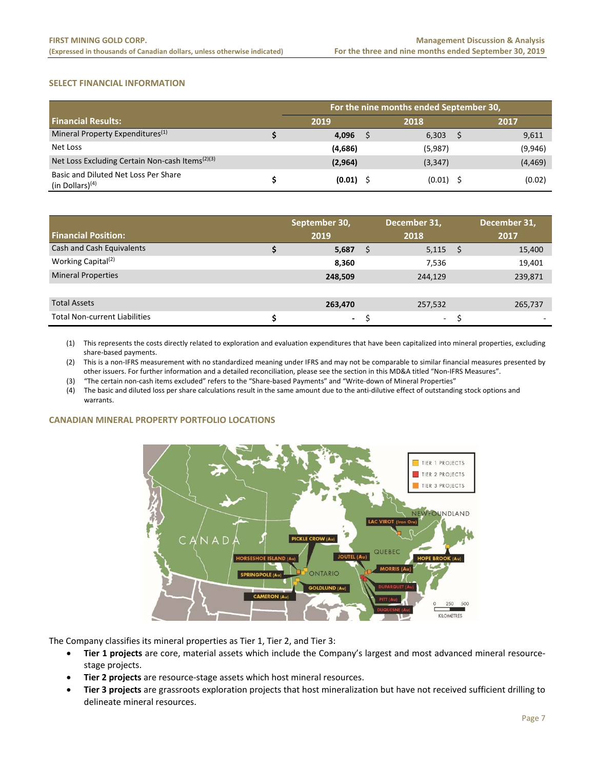# **SELECT FINANCIAL INFORMATION**

|                                                             | For the nine months ended September 30, |  |             |  |          |  |  |  |  |  |  |  |
|-------------------------------------------------------------|-----------------------------------------|--|-------------|--|----------|--|--|--|--|--|--|--|
| <b>Financial Results:</b>                                   | 2019                                    |  | 2018        |  | 2017     |  |  |  |  |  |  |  |
| Mineral Property Expenditures <sup>(1)</sup>                | 4,096                                   |  | 6,303       |  | 9,611    |  |  |  |  |  |  |  |
| Net Loss                                                    | (4,686)                                 |  | (5,987)     |  | (9,946)  |  |  |  |  |  |  |  |
| Net Loss Excluding Certain Non-cash Items <sup>(2)(3)</sup> | (2,964)                                 |  | (3, 347)    |  | (4, 469) |  |  |  |  |  |  |  |
| Basic and Diluted Net Loss Per Share<br>(in Dollars) $(4)$  | $(0.01)$ \$                             |  | $(0.01)$ \$ |  | (0.02)   |  |  |  |  |  |  |  |

| <b>Financial Position:</b>           | September 30,<br>2019 |   | December 31,<br>2018 | December 31,<br>2017 |
|--------------------------------------|-----------------------|---|----------------------|----------------------|
| Cash and Cash Equivalents            | 5,687                 | S | $5,115$ \$           | 15,400               |
| Working Capital <sup>(2)</sup>       | 8,360                 |   | 7,536                | 19,401               |
| <b>Mineral Properties</b>            | 248,509               |   | 244,129              | 239,871              |
|                                      |                       |   |                      |                      |
| <b>Total Assets</b>                  | 263,470               |   | 257,532              | 265,737              |
| <b>Total Non-current Liabilities</b> | $\sim$                |   | $\sim$               | <b>1</b>             |

(1) This represents the costs directly related to exploration and evaluation expenditures that have been capitalized into mineral properties, excluding share‐based payments.

(2) This is a non‐IFRS measurement with no standardized meaning under IFRS and may not be comparable to similar financial measures presented by other issuers. For further information and a detailed reconciliation, please see the section in this MD&A titled "Non‐IFRS Measures".

(3) "The certain non‐cash items excluded" refers to the "Share‐based Payments" and "Write‐down of Mineral Properties"

(4) The basic and diluted loss per share calculations result in the same amount due to the anti‐dilutive effect of outstanding stock options and warrants.

#### **CANADIAN MINERAL PROPERTY PORTFOLIO LOCATIONS**



The Company classifies its mineral properties as Tier 1, Tier 2, and Tier 3:

- **Tier 1 projects** are core, material assets which include the Company's largest and most advanced mineral resource‐ stage projects.
- **Tier 2 projects** are resource‐stage assets which host mineral resources.
- **Tier 3 projects** are grassroots exploration projects that host mineralization but have not received sufficient drilling to delineate mineral resources.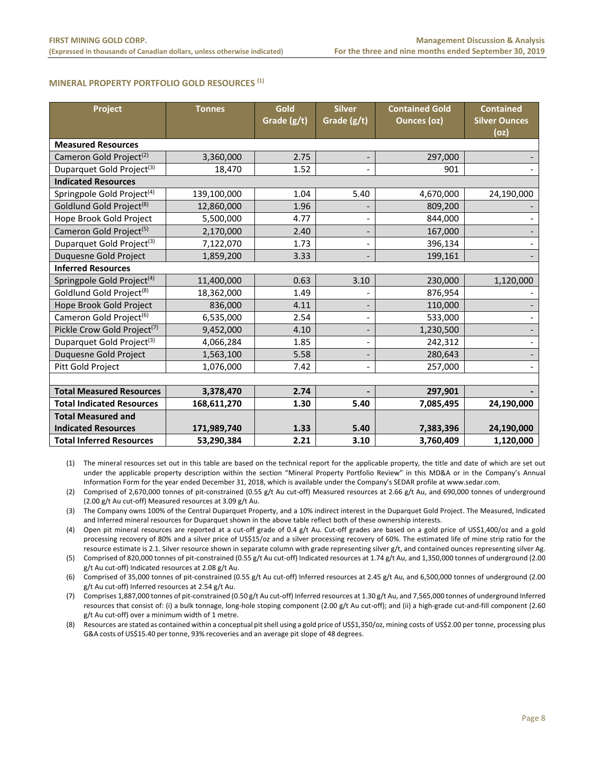#### **MINERAL PROPERTY PORTFOLIO GOLD RESOURCES (1)**

| Project                                 | <b>Tonnes</b> | Gold<br>Grade (g/t) | <b>Silver</b><br>Grade (g/t) | <b>Contained Gold</b><br><b>Ounces (oz)</b> | <b>Contained</b><br><b>Silver Ounces</b><br>(oz) |
|-----------------------------------------|---------------|---------------------|------------------------------|---------------------------------------------|--------------------------------------------------|
| <b>Measured Resources</b>               |               |                     |                              |                                             |                                                  |
| Cameron Gold Project <sup>(2)</sup>     | 3,360,000     | 2.75                |                              | 297,000                                     |                                                  |
| Duparquet Gold Project <sup>(3)</sup>   | 18,470        | 1.52                |                              | 901                                         |                                                  |
| <b>Indicated Resources</b>              |               |                     |                              |                                             |                                                  |
| Springpole Gold Project <sup>(4)</sup>  | 139,100,000   | 1.04                | 5.40                         | 4,670,000                                   | 24,190,000                                       |
| Goldlund Gold Project <sup>(8)</sup>    | 12,860,000    | 1.96                |                              | 809,200                                     |                                                  |
| Hope Brook Gold Project                 | 5,500,000     | 4.77                |                              | 844,000                                     |                                                  |
| Cameron Gold Project <sup>(5)</sup>     | 2,170,000     | 2.40                |                              | 167,000                                     |                                                  |
| Duparquet Gold Project <sup>(3)</sup>   | 7,122,070     | 1.73                | $\overline{\phantom{a}}$     | 396,134                                     |                                                  |
| Duquesne Gold Project                   | 1,859,200     | 3.33                |                              | 199,161                                     |                                                  |
| <b>Inferred Resources</b>               |               |                     |                              |                                             |                                                  |
| Springpole Gold Project <sup>(4)</sup>  | 11,400,000    | 0.63                | 3.10                         | 230,000                                     | 1,120,000                                        |
| Goldlund Gold Project <sup>(8)</sup>    | 18,362,000    | 1.49                |                              | 876,954                                     |                                                  |
| Hope Brook Gold Project                 | 836,000       | 4.11                |                              | 110,000                                     |                                                  |
| Cameron Gold Project <sup>(6)</sup>     | 6,535,000     | 2.54                | $\overline{\phantom{a}}$     | 533,000                                     |                                                  |
| Pickle Crow Gold Project <sup>(7)</sup> | 9,452,000     | 4.10                | $\qquad \qquad \blacksquare$ | 1,230,500                                   |                                                  |
| Duparquet Gold Project <sup>(3)</sup>   | 4,066,284     | 1.85                |                              | 242,312                                     |                                                  |
| Duquesne Gold Project                   | 1,563,100     | 5.58                |                              | 280,643                                     |                                                  |
| Pitt Gold Project                       | 1,076,000     | 7.42                |                              | 257,000                                     |                                                  |
|                                         |               |                     |                              |                                             |                                                  |
| <b>Total Measured Resources</b>         | 3,378,470     | 2.74                |                              | 297,901                                     |                                                  |
| <b>Total Indicated Resources</b>        | 168,611,270   | 1.30                | 5.40                         | 7,085,495                                   | 24,190,000                                       |
| <b>Total Measured and</b>               |               |                     |                              |                                             |                                                  |
| <b>Indicated Resources</b>              | 171,989,740   | 1.33                | 5.40                         | 7,383,396                                   | 24,190,000                                       |
| <b>Total Inferred Resources</b>         | 53,290,384    | 2.21                | 3.10                         | 3,760,409                                   | 1,120,000                                        |

(1) The mineral resources set out in this table are based on the technical report for the applicable property, the title and date of which are set out under the applicable property description within the section "Mineral Property Portfolio Review" in this MD&A or in the Company's Annual Information Form for the year ended December 31, 2018, which is available under the Company's SEDAR profile at www.sedar.com.

(2) Comprised of 2,670,000 tonnes of pit‐constrained (0.55 g/t Au cut‐off) Measured resources at 2.66 g/t Au, and 690,000 tonnes of underground (2.00 g/t Au cut‐off) Measured resources at 3.09 g/t Au.

(3) The Company owns 100% of the Central Duparquet Property, and a 10% indirect interest in the Duparquet Gold Project. The Measured, Indicated and Inferred mineral resources for Duparquet shown in the above table reflect both of these ownership interests.

(4) Open pit mineral resources are reported at a cut-off grade of 0.4 g/t Au. Cut-off grades are based on a gold price of US\$1,400/oz and a gold processing recovery of 80% and a silver price of US\$15/oz and a silver processing recovery of 60%. The estimated life of mine strip ratio for the resource estimate is 2.1. Silver resource shown in separate column with grade representing silver g/t, and contained ounces representing silver Ag.

(5) Comprised of 820,000 tonnes of pit‐constrained (0.55 g/t Au cut‐off) Indicated resources at 1.74 g/t Au, and 1,350,000 tonnes of underground (2.00 g/t Au cut‐off) Indicated resources at 2.08 g/t Au.

(6) Comprised of 35,000 tonnes of pit‐constrained (0.55 g/t Au cut‐off) Inferred resources at 2.45 g/t Au, and 6,500,000 tonnes of underground (2.00 g/t Au cut‐off) Inferred resources at 2.54 g/t Au.

(7) Comprises 1,887,000 tonnes of pit‐constrained (0.50 g/t Au cut‐off) Inferred resources at 1.30 g/t Au, and 7,565,000 tonnes of underground Inferred resources that consist of: (i) a bulk tonnage, long‐hole stoping component (2.00 g/t Au cut‐off); and (ii) a high‐grade cut‐and‐fill component (2.60 g/t Au cut‐off) over a minimum width of 1 metre.

(8) Resources are stated as contained within a conceptual pit shell using a gold price of US\$1,350/oz, mining costs of US\$2.00 per tonne, processing plus G&A costs of US\$15.40 per tonne, 93% recoveries and an average pit slope of 48 degrees.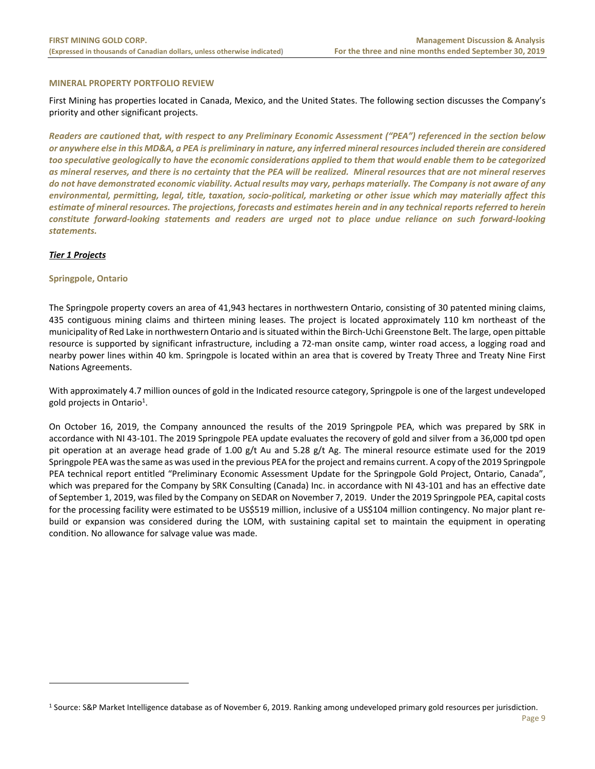#### **MINERAL PROPERTY PORTFOLIO REVIEW**

First Mining has properties located in Canada, Mexico, and the United States. The following section discusses the Company's priority and other significant projects.

*Readers are cautioned that, with respect to any Preliminary Economic Assessment ("PEA") referenced in the section below or anywhere else in this MD&A, a PEA is preliminary in nature, any inferred mineral resources included therein are considered too speculative geologically to have the economic considerations applied to them that would enable them to be categorized as mineral reserves, and there is no certainty that the PEA will be realized. Mineral resources that are not mineral reserves do not have demonstrated economic viability. Actual results may vary, perhaps materially. The Company is not aware of any environmental, permitting, legal, title, taxation, socio‐political, marketing or other issue which may materially affect this estimate of mineral resources. The projections, forecasts and estimates herein and in any technical reports referred to herein constitute forward‐looking statements and readers are urged not to place undue reliance on such forward‐looking statements.*

# *Tier 1 Projects*

 $\overline{a}$ 

# **Springpole, Ontario**

The Springpole property covers an area of 41,943 hectares in northwestern Ontario, consisting of 30 patented mining claims, 435 contiguous mining claims and thirteen mining leases. The project is located approximately 110 km northeast of the municipality of Red Lake in northwestern Ontario and is situated within the Birch‐Uchi Greenstone Belt. The large, open pittable resource is supported by significant infrastructure, including a 72‐man onsite camp, winter road access, a logging road and nearby power lines within 40 km. Springpole is located within an area that is covered by Treaty Three and Treaty Nine First Nations Agreements.

With approximately 4.7 million ounces of gold in the Indicated resource category, Springpole is one of the largest undeveloped gold projects in Ontario<sup>1</sup>.

On October 16, 2019, the Company announced the results of the 2019 Springpole PEA, which was prepared by SRK in accordance with NI 43‐101. The 2019 Springpole PEA update evaluates the recovery of gold and silver from a 36,000 tpd open pit operation at an average head grade of 1.00  $g/t$  Au and 5.28  $g/t$  Ag. The mineral resource estimate used for the 2019 Springpole PEA was the same as was used in the previous PEA for the project and remains current. A copy of the 2019 Springpole PEA technical report entitled "Preliminary Economic Assessment Update for the Springpole Gold Project, Ontario, Canada", which was prepared for the Company by SRK Consulting (Canada) Inc. in accordance with NI 43-101 and has an effective date of September 1, 2019, was filed by the Company on SEDAR on November 7, 2019. Under the 2019 Springpole PEA, capital costs for the processing facility were estimated to be US\$519 million, inclusive of a US\$104 million contingency. No major plant rebuild or expansion was considered during the LOM, with sustaining capital set to maintain the equipment in operating condition. No allowance for salvage value was made.

<sup>1</sup> Source: S&P Market Intelligence database as of November 6, 2019. Ranking among undeveloped primary gold resources per jurisdiction.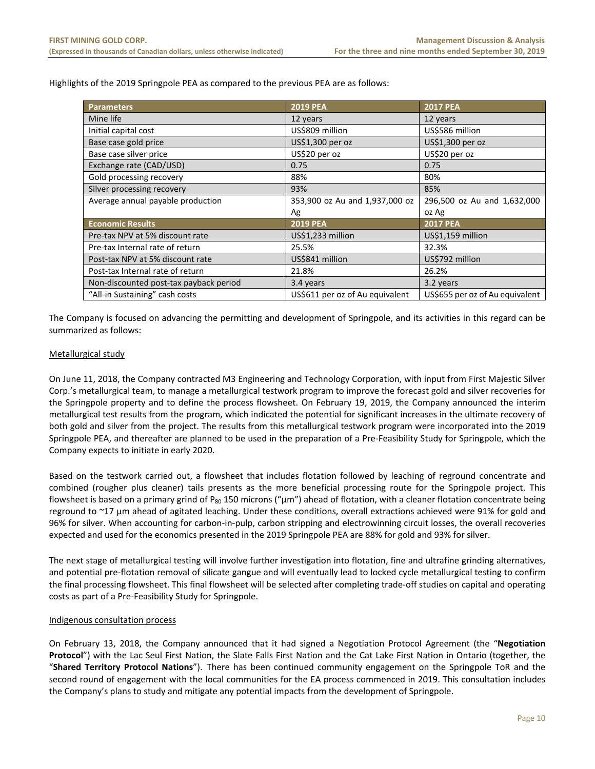Highlights of the 2019 Springpole PEA as compared to the previous PEA are as follows:

| <b>Parameters</b>                      | <b>2019 PEA</b>                 | <b>2017 PEA</b>                 |
|----------------------------------------|---------------------------------|---------------------------------|
| Mine life                              | 12 years                        | 12 years                        |
| Initial capital cost                   | US\$809 million                 | US\$586 million                 |
| Base case gold price                   | US\$1,300 per oz                | US\$1,300 per oz                |
| Base case silver price                 | US\$20 per oz                   | US\$20 per oz                   |
| Exchange rate (CAD/USD)                | 0.75                            | 0.75                            |
| Gold processing recovery               | 88%                             | 80%                             |
| Silver processing recovery             | 93%                             | 85%                             |
| Average annual payable production      | 353,900 oz Au and 1,937,000 oz  | 296,500 oz Au and 1,632,000     |
|                                        | Ag                              | oz Ag                           |
| <b>Economic Results</b>                | <b>2019 PEA</b>                 | <b>2017 PEA</b>                 |
| Pre-tax NPV at 5% discount rate        | US\$1,233 million               | US\$1,159 million               |
| Pre-tax Internal rate of return        | 25.5%                           | 32.3%                           |
| Post-tax NPV at 5% discount rate       | US\$841 million                 | US\$792 million                 |
| Post-tax Internal rate of return       | 21.8%                           | 26.2%                           |
| Non-discounted post-tax payback period | 3.4 years                       | 3.2 years                       |
| "All-in Sustaining" cash costs         | US\$611 per oz of Au equivalent | US\$655 per oz of Au equivalent |

The Company is focused on advancing the permitting and development of Springpole, and its activities in this regard can be summarized as follows:

# Metallurgical study

On June 11, 2018, the Company contracted M3 Engineering and Technology Corporation, with input from First Majestic Silver Corp.'s metallurgical team, to manage a metallurgical testwork program to improve the forecast gold and silver recoveries for the Springpole property and to define the process flowsheet. On February 19, 2019, the Company announced the interim metallurgical test results from the program, which indicated the potential for significant increases in the ultimate recovery of both gold and silver from the project. The results from this metallurgical testwork program were incorporated into the 2019 Springpole PEA, and thereafter are planned to be used in the preparation of a Pre‐Feasibility Study for Springpole, which the Company expects to initiate in early 2020.

Based on the testwork carried out, a flowsheet that includes flotation followed by leaching of reground concentrate and combined (rougher plus cleaner) tails presents as the more beneficial processing route for the Springpole project. This flowsheet is based on a primary grind of P<sub>80</sub> 150 microns (" $\mu$ m") ahead of flotation, with a cleaner flotation concentrate being reground to ~17 µm ahead of agitated leaching. Under these conditions, overall extractions achieved were 91% for gold and 96% for silver. When accounting for carbon-in-pulp, carbon stripping and electrowinning circuit losses, the overall recoveries expected and used for the economics presented in the 2019 Springpole PEA are 88% for gold and 93% for silver.

The next stage of metallurgical testing will involve further investigation into flotation, fine and ultrafine grinding alternatives, and potential pre‐flotation removal of silicate gangue and will eventually lead to locked cycle metallurgical testing to confirm the final processing flowsheet. This final flowsheet will be selected after completing trade‐off studies on capital and operating costs as part of a Pre‐Feasibility Study for Springpole.

#### Indigenous consultation process

On February 13, 2018, the Company announced that it had signed a Negotiation Protocol Agreement (the "**Negotiation Protocol**") with the Lac Seul First Nation, the Slate Falls First Nation and the Cat Lake First Nation in Ontario (together, the "**Shared Territory Protocol Nations**"). There has been continued community engagement on the Springpole ToR and the second round of engagement with the local communities for the EA process commenced in 2019. This consultation includes the Company's plans to study and mitigate any potential impacts from the development of Springpole.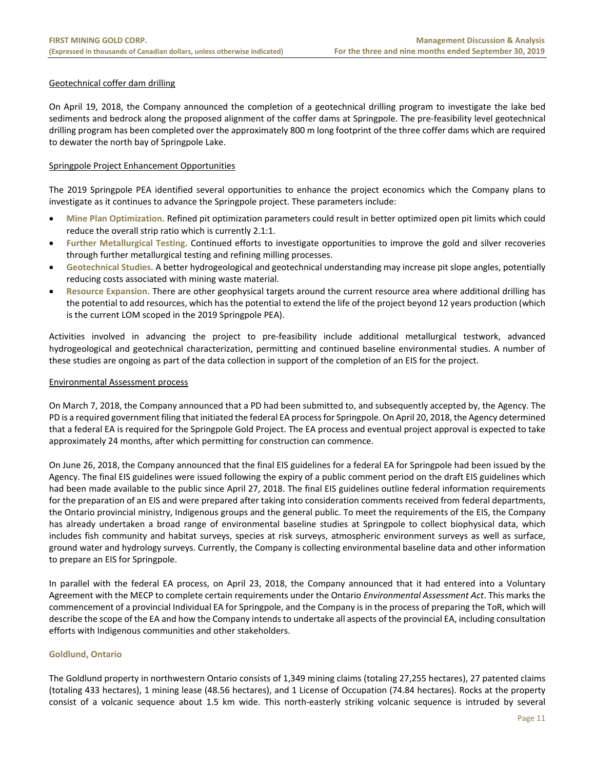# Geotechnical coffer dam drilling

On April 19, 2018, the Company announced the completion of a geotechnical drilling program to investigate the lake bed sediments and bedrock along the proposed alignment of the coffer dams at Springpole. The pre‐feasibility level geotechnical drilling program has been completed over the approximately 800 m long footprint of the three coffer dams which are required to dewater the north bay of Springpole Lake.

# Springpole Project Enhancement Opportunities

The 2019 Springpole PEA identified several opportunities to enhance the project economics which the Company plans to investigate as it continues to advance the Springpole project. These parameters include:

- **Mine Plan Optimization.** Refined pit optimization parameters could result in better optimized open pit limits which could reduce the overall strip ratio which is currently 2.1:1.
- **Further Metallurgical Testing.** Continued efforts to investigate opportunities to improve the gold and silver recoveries through further metallurgical testing and refining milling processes.
- **Geotechnical Studies.** A better hydrogeological and geotechnical understanding may increase pit slope angles, potentially reducing costs associated with mining waste material.
- **Resource Expansion.** There are other geophysical targets around the current resource area where additional drilling has the potential to add resources, which has the potential to extend the life of the project beyond 12 years production (which is the current LOM scoped in the 2019 Springpole PEA).

Activities involved in advancing the project to pre‐feasibility include additional metallurgical testwork, advanced hydrogeological and geotechnical characterization, permitting and continued baseline environmental studies. A number of these studies are ongoing as part of the data collection in support of the completion of an EIS for the project.

#### Environmental Assessment process

On March 7, 2018, the Company announced that a PD had been submitted to, and subsequently accepted by, the Agency. The PD is a required government filing that initiated the federal EA process for Springpole. On April 20, 2018, the Agency determined that a federal EA is required for the Springpole Gold Project. The EA process and eventual project approval is expected to take approximately 24 months, after which permitting for construction can commence.

On June 26, 2018, the Company announced that the final EIS guidelines for a federal EA for Springpole had been issued by the Agency. The final EIS guidelines were issued following the expiry of a public comment period on the draft EIS guidelines which had been made available to the public since April 27, 2018. The final EIS guidelines outline federal information requirements for the preparation of an EIS and were prepared after taking into consideration comments received from federal departments, the Ontario provincial ministry, Indigenous groups and the general public. To meet the requirements of the EIS, the Company has already undertaken a broad range of environmental baseline studies at Springpole to collect biophysical data, which includes fish community and habitat surveys, species at risk surveys, atmospheric environment surveys as well as surface, ground water and hydrology surveys. Currently, the Company is collecting environmental baseline data and other information to prepare an EIS for Springpole.

In parallel with the federal EA process, on April 23, 2018, the Company announced that it had entered into a Voluntary Agreement with the MECP to complete certain requirements under the Ontario *Environmental Assessment Act*. This marks the commencement of a provincial Individual EA for Springpole, and the Company is in the process of preparing the ToR, which will describe the scope of the EA and how the Company intends to undertake all aspects of the provincial EA, including consultation efforts with Indigenous communities and other stakeholders.

#### **Goldlund, Ontario**

The Goldlund property in northwestern Ontario consists of 1,349 mining claims (totaling 27,255 hectares), 27 patented claims (totaling 433 hectares), 1 mining lease (48.56 hectares), and 1 License of Occupation (74.84 hectares). Rocks at the property consist of a volcanic sequence about 1.5 km wide. This north-easterly striking volcanic sequence is intruded by several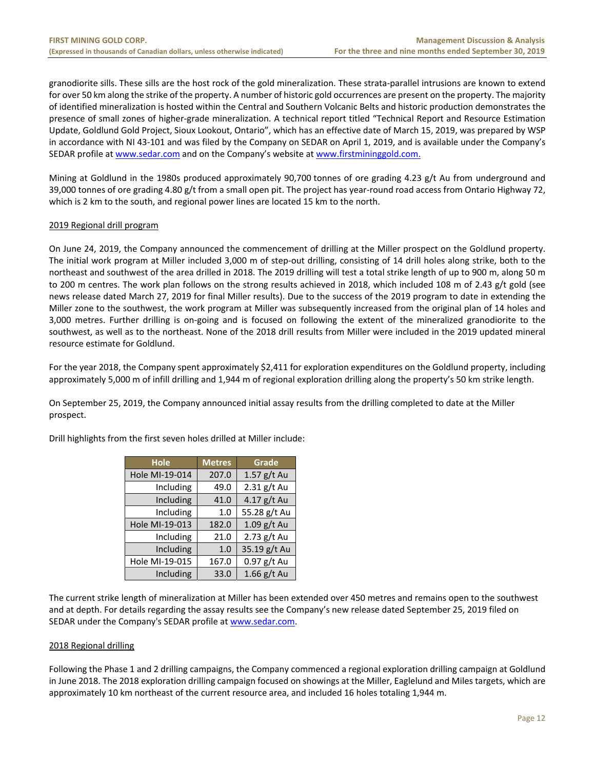granodiorite sills. These sills are the host rock of the gold mineralization. These strata‐parallel intrusions are known to extend for over 50 km along the strike of the property. A number of historic gold occurrences are present on the property. The majority of identified mineralization is hosted within the Central and Southern Volcanic Belts and historic production demonstrates the presence of small zones of higher‐grade mineralization. A technical report titled "Technical Report and Resource Estimation Update, Goldlund Gold Project, Sioux Lookout, Ontario", which has an effective date of March 15, 2019, was prepared by WSP in accordance with NI 43‐101 and was filed by the Company on SEDAR on April 1, 2019, and is available under the Company's SEDAR profile at www.sedar.com and on the Company's website at www.firstmininggold.com.

Mining at Goldlund in the 1980s produced approximately 90,700 tonnes of ore grading 4.23 g/t Au from underground and 39,000 tonnes of ore grading 4.80 g/t from a small open pit. The project has year‐round road access from Ontario Highway 72, which is 2 km to the south, and regional power lines are located 15 km to the north.

# 2019 Regional drill program

On June 24, 2019, the Company announced the commencement of drilling at the Miller prospect on the Goldlund property. The initial work program at Miller included 3,000 m of step‐out drilling, consisting of 14 drill holes along strike, both to the northeast and southwest of the area drilled in 2018. The 2019 drilling will test a total strike length of up to 900 m, along 50 m to 200 m centres. The work plan follows on the strong results achieved in 2018, which included 108 m of 2.43 g/t gold (see news release dated March 27, 2019 for final Miller results). Due to the success of the 2019 program to date in extending the Miller zone to the southwest, the work program at Miller was subsequently increased from the original plan of 14 holes and 3,000 metres. Further drilling is on-going and is focused on following the extent of the mineralized granodiorite to the southwest, as well as to the northeast. None of the 2018 drill results from Miller were included in the 2019 updated mineral resource estimate for Goldlund.

For the year 2018, the Company spent approximately \$2,411 for exploration expenditures on the Goldlund property, including approximately 5,000 m of infill drilling and 1,944 m of regional exploration drilling along the property's 50 km strike length.

On September 25, 2019, the Company announced initial assay results from the drilling completed to date at the Miller prospect.

| <b>Hole</b>    | <b>Metres</b> | Grade         |
|----------------|---------------|---------------|
| Hole MI-19-014 | 207.0         | 1.57 g/t Au   |
| Including      | 49.0          | $2.31$ g/t Au |
| Including      | 41.0          | 4.17 $g/t$ Au |
| Including      | 1.0           | 55.28 g/t Au  |
| Hole MI-19-013 | 182.0         | 1.09 g/t Au   |
| Including      | 21.0          | 2.73 g/t Au   |
| Including      | 1.0           | 35.19 g/t Au  |
| Hole MI-19-015 | 167.0         | $0.97$ g/t Au |
| Including      | 33.0          | $1.66$ g/t Au |

Drill highlights from the first seven holes drilled at Miller include:

The current strike length of mineralization at Miller has been extended over 450 metres and remains open to the southwest and at depth. For details regarding the assay results see the Company's new release dated September 25, 2019 filed on SEDAR under the Company's SEDAR profile at www.sedar.com.

#### 2018 Regional drilling

Following the Phase 1 and 2 drilling campaigns, the Company commenced a regional exploration drilling campaign at Goldlund in June 2018. The 2018 exploration drilling campaign focused on showings at the Miller, Eaglelund and Miles targets, which are approximately 10 km northeast of the current resource area, and included 16 holes totaling 1,944 m.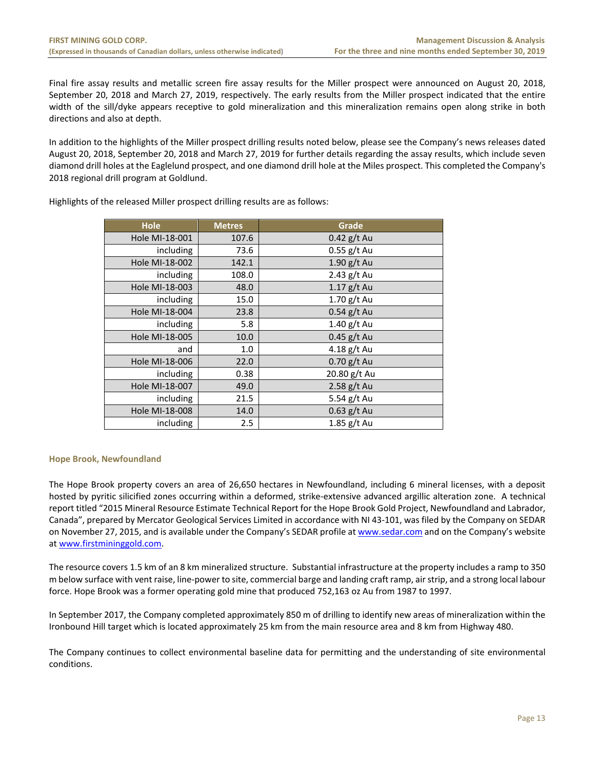Final fire assay results and metallic screen fire assay results for the Miller prospect were announced on August 20, 2018, September 20, 2018 and March 27, 2019, respectively. The early results from the Miller prospect indicated that the entire width of the sill/dyke appears receptive to gold mineralization and this mineralization remains open along strike in both directions and also at depth.

In addition to the highlights of the Miller prospect drilling results noted below, please see the Company's news releases dated August 20, 2018, September 20, 2018 and March 27, 2019 for further details regarding the assay results, which include seven diamond drill holes at the Eaglelund prospect, and one diamond drill hole at the Miles prospect. This completed the Company's 2018 regional drill program at Goldlund.

| Hole           | <b>Metres</b> | Grade         |
|----------------|---------------|---------------|
| Hole MI-18-001 | 107.6         | $0.42$ g/t Au |
| including      | 73.6          | $0.55$ g/t Au |
| Hole MI-18-002 | 142.1         | $1.90$ g/t Au |
| including      | 108.0         | 2.43 g/t Au   |
| Hole MI-18-003 | 48.0          | $1.17$ g/t Au |
| including      | 15.0          | $1.70$ g/t Au |
| Hole MI-18-004 | 23.8          | $0.54$ g/t Au |
| including      | 5.8           | $1.40$ g/t Au |
| Hole MI-18-005 | 10.0          | $0.45$ g/t Au |
| and            | 1.0           | 4.18 g/t Au   |
| Hole MI-18-006 | 22.0          | $0.70$ g/t Au |
| including      | 0.38          | 20.80 g/t Au  |
| Hole MI-18-007 | 49.0          | 2.58 $g/t$ Au |
| including      | 21.5          | 5.54 g/t Au   |
| Hole MI-18-008 | 14.0          | $0.63$ g/t Au |
| including      | $2.5\,$       | $1.85$ g/t Au |

Highlights of the released Miller prospect drilling results are as follows:

# **Hope Brook, Newfoundland**

The Hope Brook property covers an area of 26,650 hectares in Newfoundland, including 6 mineral licenses, with a deposit hosted by pyritic silicified zones occurring within a deformed, strike‐extensive advanced argillic alteration zone. A technical report titled "2015 Mineral Resource Estimate Technical Report for the Hope Brook Gold Project, Newfoundland and Labrador, Canada", prepared by Mercator Geological Services Limited in accordance with NI 43‐101, was filed by the Company on SEDAR on November 27, 2015, and is available under the Company's SEDAR profile at www.sedar.com and on the Company's website at www.firstmininggold.com.

The resource covers 1.5 km of an 8 km mineralized structure. Substantial infrastructure at the property includes a ramp to 350 m below surface with vent raise, line‐power to site, commercial barge and landing craft ramp, air strip, and a strong local labour force. Hope Brook was a former operating gold mine that produced 752,163 oz Au from 1987 to 1997.

In September 2017, the Company completed approximately 850 m of drilling to identify new areas of mineralization within the Ironbound Hill target which is located approximately 25 km from the main resource area and 8 km from Highway 480.

The Company continues to collect environmental baseline data for permitting and the understanding of site environmental conditions.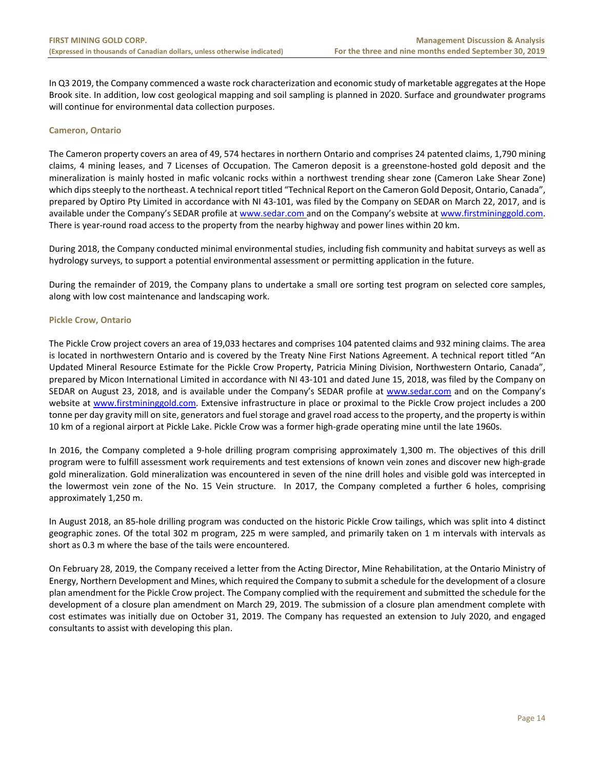In Q3 2019, the Company commenced a waste rock characterization and economic study of marketable aggregates at the Hope Brook site. In addition, low cost geological mapping and soil sampling is planned in 2020. Surface and groundwater programs will continue for environmental data collection purposes.

#### **Cameron, Ontario**

The Cameron property covers an area of 49, 574 hectares in northern Ontario and comprises 24 patented claims, 1,790 mining claims, 4 mining leases, and 7 Licenses of Occupation. The Cameron deposit is a greenstone‐hosted gold deposit and the mineralization is mainly hosted in mafic volcanic rocks within a northwest trending shear zone (Cameron Lake Shear Zone) which dips steeply to the northeast. A technical report titled "Technical Report on the Cameron Gold Deposit, Ontario, Canada", prepared by Optiro Pty Limited in accordance with NI 43‐101, was filed by the Company on SEDAR on March 22, 2017, and is available under the Company's SEDAR profile at www.sedar.com and on the Company's website at www.firstmininggold.com. There is year-round road access to the property from the nearby highway and power lines within 20 km.

During 2018, the Company conducted minimal environmental studies, including fish community and habitat surveys as well as hydrology surveys, to support a potential environmental assessment or permitting application in the future.

During the remainder of 2019, the Company plans to undertake a small ore sorting test program on selected core samples, along with low cost maintenance and landscaping work.

# **Pickle Crow, Ontario**

The Pickle Crow project covers an area of 19,033 hectares and comprises 104 patented claims and 932 mining claims. The area is located in northwestern Ontario and is covered by the Treaty Nine First Nations Agreement. A technical report titled "An Updated Mineral Resource Estimate for the Pickle Crow Property, Patricia Mining Division, Northwestern Ontario, Canada", prepared by Micon International Limited in accordance with NI 43-101 and dated June 15, 2018, was filed by the Company on SEDAR on August 23, 2018, and is available under the Company's SEDAR profile at www.sedar.com and on the Company's website at www.firstmininggold.com. Extensive infrastructure in place or proximal to the Pickle Crow project includes a 200 tonne per day gravity mill on site, generators and fuel storage and gravel road access to the property, and the property is within 10 km of a regional airport at Pickle Lake. Pickle Crow was a former high‐grade operating mine until the late 1960s.

In 2016, the Company completed a 9-hole drilling program comprising approximately 1,300 m. The objectives of this drill program were to fulfill assessment work requirements and test extensions of known vein zones and discover new high‐grade gold mineralization. Gold mineralization was encountered in seven of the nine drill holes and visible gold was intercepted in the lowermost vein zone of the No. 15 Vein structure. In 2017, the Company completed a further 6 holes, comprising approximately 1,250 m.

In August 2018, an 85‐hole drilling program was conducted on the historic Pickle Crow tailings, which was split into 4 distinct geographic zones. Of the total 302 m program, 225 m were sampled, and primarily taken on 1 m intervals with intervals as short as 0.3 m where the base of the tails were encountered.

On February 28, 2019, the Company received a letter from the Acting Director, Mine Rehabilitation, at the Ontario Ministry of Energy, Northern Development and Mines, which required the Company to submit a schedule for the development of a closure plan amendment for the Pickle Crow project. The Company complied with the requirement and submitted the schedule for the development of a closure plan amendment on March 29, 2019. The submission of a closure plan amendment complete with cost estimates was initially due on October 31, 2019. The Company has requested an extension to July 2020, and engaged consultants to assist with developing this plan.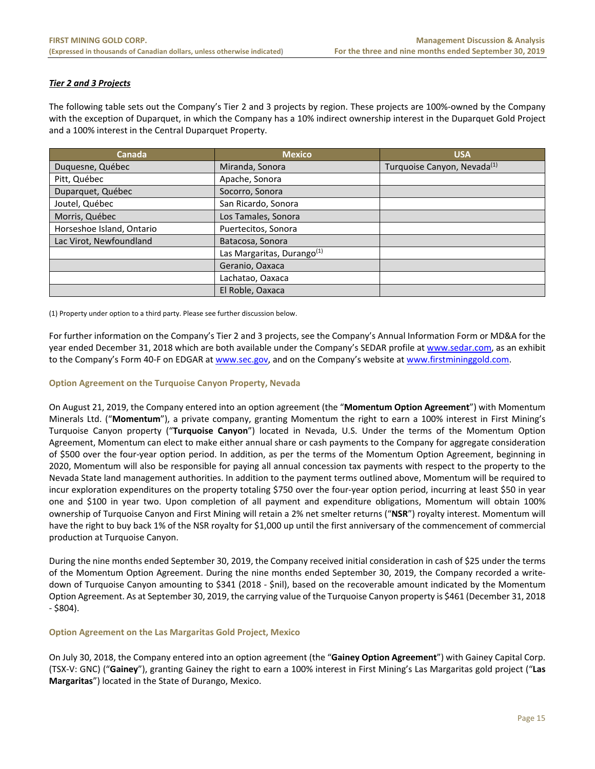# *Tier 2 and 3 Projects*

The following table sets out the Company's Tier 2 and 3 projects by region. These projects are 100%‐owned by the Company with the exception of Duparquet, in which the Company has a 10% indirect ownership interest in the Duparquet Gold Project and a 100% interest in the Central Duparquet Property.

| Canada                    | <b>Mexico</b>                          | <b>USA</b>                              |
|---------------------------|----------------------------------------|-----------------------------------------|
| Duquesne, Québec          | Miranda, Sonora                        | Turquoise Canyon, Nevada <sup>(1)</sup> |
| Pitt, Québec              | Apache, Sonora                         |                                         |
| Duparquet, Québec         | Socorro, Sonora                        |                                         |
| Joutel, Québec            | San Ricardo, Sonora                    |                                         |
| Morris, Québec            | Los Tamales, Sonora                    |                                         |
| Horseshoe Island, Ontario | Puertecitos, Sonora                    |                                         |
| Lac Virot, Newfoundland   | Batacosa, Sonora                       |                                         |
|                           | Las Margaritas, Durango <sup>(1)</sup> |                                         |
|                           | Geranio, Oaxaca                        |                                         |
|                           | Lachatao, Oaxaca                       |                                         |
|                           | El Roble, Oaxaca                       |                                         |

(1) Property under option to a third party. Please see further discussion below.

For further information on the Company's Tier 2 and 3 projects, see the Company's Annual Information Form or MD&A for the year ended December 31, 2018 which are both available under the Company's SEDAR profile at www.sedar.com, as an exhibit to the Company's Form 40-F on EDGAR at www.sec.gov, and on the Company's website at www.firstmininggold.com.

#### **Option Agreement on the Turquoise Canyon Property, Nevada**

On August 21, 2019, the Company entered into an option agreement (the "**Momentum Option Agreement**") with Momentum Minerals Ltd. ("Momentum"), a private company, granting Momentum the right to earn a 100% interest in First Mining's Turquoise Canyon property ("**Turquoise Canyon**") located in Nevada, U.S. Under the terms of the Momentum Option Agreement, Momentum can elect to make either annual share or cash payments to the Company for aggregate consideration of \$500 over the four‐year option period. In addition, as per the terms of the Momentum Option Agreement, beginning in 2020, Momentum will also be responsible for paying all annual concession tax payments with respect to the property to the Nevada State land management authorities. In addition to the payment terms outlined above, Momentum will be required to incur exploration expenditures on the property totaling \$750 over the four‐year option period, incurring at least \$50 in year one and \$100 in year two. Upon completion of all payment and expenditure obligations, Momentum will obtain 100% ownership of Turquoise Canyon and First Mining will retain a 2% net smelter returns ("**NSR**") royalty interest. Momentum will have the right to buy back 1% of the NSR royalty for \$1,000 up until the first anniversary of the commencement of commercial production at Turquoise Canyon.

During the nine months ended September 30, 2019, the Company received initial consideration in cash of \$25 under the terms of the Momentum Option Agreement. During the nine months ended September 30, 2019, the Company recorded a write‐ down of Turquoise Canyon amounting to \$341 (2018 ‐ \$nil), based on the recoverable amount indicated by the Momentum Option Agreement. As at September 30, 2019, the carrying value of the Turquoise Canyon property is \$461 (December 31, 2018 ‐ \$804).

#### **Option Agreement on the Las Margaritas Gold Project, Mexico**

On July 30, 2018, the Company entered into an option agreement (the "**Gainey Option Agreement**") with Gainey Capital Corp. (TSX‐V: GNC) ("**Gainey**"), granting Gainey the right to earn a 100% interest in First Mining's Las Margaritas gold project ("**Las Margaritas**") located in the State of Durango, Mexico.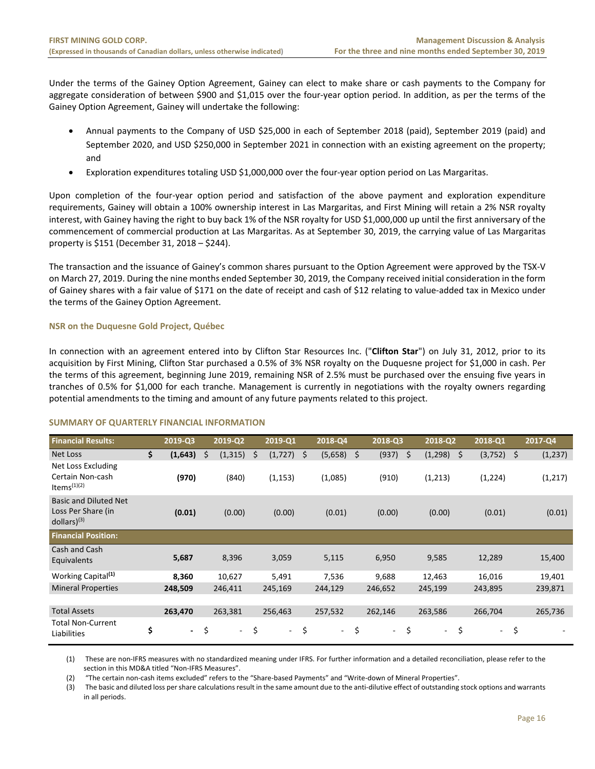Under the terms of the Gainey Option Agreement, Gainey can elect to make share or cash payments to the Company for aggregate consideration of between \$900 and \$1,015 over the four‐year option period. In addition, as per the terms of the Gainey Option Agreement, Gainey will undertake the following:

- Annual payments to the Company of USD \$25,000 in each of September 2018 (paid), September 2019 (paid) and September 2020, and USD \$250,000 in September 2021 in connection with an existing agreement on the property; and
- Exploration expenditures totaling USD \$1,000,000 over the four‐year option period on Las Margaritas.

Upon completion of the four-year option period and satisfaction of the above payment and exploration expenditure requirements, Gainey will obtain a 100% ownership interest in Las Margaritas, and First Mining will retain a 2% NSR royalty interest, with Gainey having the right to buy back 1% of the NSR royalty for USD \$1,000,000 up until the first anniversary of the commencement of commercial production at Las Margaritas. As at September 30, 2019, the carrying value of Las Margaritas property is \$151 (December 31, 2018 – \$244).

The transaction and the issuance of Gainey's common shares pursuant to the Option Agreement were approved by the TSX‐V on March 27, 2019. During the nine months ended September 30, 2019, the Company received initial consideration in the form of Gainey shares with a fair value of \$171 on the date of receipt and cash of \$12 relating to value‐added tax in Mexico under the terms of the Gainey Option Agreement.

# **NSR on the Duquesne Gold Project, Québec**

In connection with an agreement entered into by Clifton Star Resources Inc. ("**Clifton Star**") on July 31, 2012, prior to its acquisition by First Mining, Clifton Star purchased a 0.5% of 3% NSR royalty on the Duquesne project for \$1,000 in cash. Per the terms of this agreement, beginning June 2019, remaining NSR of 2.5% must be purchased over the ensuing five years in tranches of 0.5% for \$1,000 for each tranche. Management is currently in negotiations with the royalty owners regarding potential amendments to the timing and amount of any future payments related to this project.

#### **SUMMARY OF QUARTERLY FINANCIAL INFORMATION**

| <b>Financial Results:</b>                                                  | 2019-Q3                        |    | 2019-Q2  |     | 2019-Q1      | 2018-Q4                        | 2018-Q3      | 2018-Q2        |      | 2018-Q1 |      | 2017-Q4  |
|----------------------------------------------------------------------------|--------------------------------|----|----------|-----|--------------|--------------------------------|--------------|----------------|------|---------|------|----------|
| Net Loss                                                                   | \$<br>(1,643)                  | Ŝ. | (1, 315) | \$. | $(1,727)$ \$ | $(5,658)$ \$                   | (937)        | \$<br>(1, 298) | - \$ | (3,752) | $-5$ | (1, 237) |
| Net Loss Excluding<br>Certain Non-cash<br>Items $(1)(2)$                   | (970)                          |    | (840)    |     | (1, 153)     | (1,085)                        | (910)        | (1,213)        |      | (1,224) |      | (1,217)  |
| <b>Basic and Diluted Net</b><br>Loss Per Share (in<br>$d$ ollars $)^{(3)}$ | (0.01)                         |    | (0.00)   |     | (0.00)       | (0.01)                         | (0.00)       | (0.00)         |      | (0.01)  |      | (0.01)   |
| <b>Financial Position:</b>                                                 |                                |    |          |     |              |                                |              |                |      |         |      |          |
| Cash and Cash<br>Equivalents                                               | 5,687                          |    | 8,396    |     | 3,059        | 5,115                          | 6,950        | 9,585          |      | 12,289  |      | 15,400   |
| Working Capital <sup>(1)</sup>                                             | 8,360                          |    | 10,627   |     | 5,491        | 7,536                          | 9,688        | 12,463         |      | 16,016  |      | 19,401   |
| <b>Mineral Properties</b>                                                  | 248,509                        |    | 246,411  |     | 245,169      | 244,129                        | 246,652      | 245,199        |      | 243,895 |      | 239,871  |
|                                                                            |                                |    |          |     |              |                                |              |                |      |         |      |          |
| <b>Total Assets</b>                                                        | 263,470                        |    | 263,381  |     | 256,463      | 257,532                        | 262,146      | 263,586        |      | 266,704 |      | 265,736  |
| <b>Total Non-Current</b><br>Liabilities                                    | \$<br>$\overline{\phantom{a}}$ | \$ | $\sim$   | \$  | н.           | \$<br>$\overline{\phantom{0}}$ | \$<br>$\sim$ | \$<br>$\sim$   | \$   | $\sim$  | \$   |          |

(1) These are non‐IFRS measures with no standardized meaning under IFRS. For further information and a detailed reconciliation, please refer to the section in this MD&A titled "Non‐IFRS Measures".

(2) "The certain non‐cash items excluded" refers to the "Share‐based Payments" and "Write‐down of Mineral Properties".

(3) The basic and diluted loss per share calculations result in the same amount due to the anti‐dilutive effect of outstanding stock options and warrants in all periods.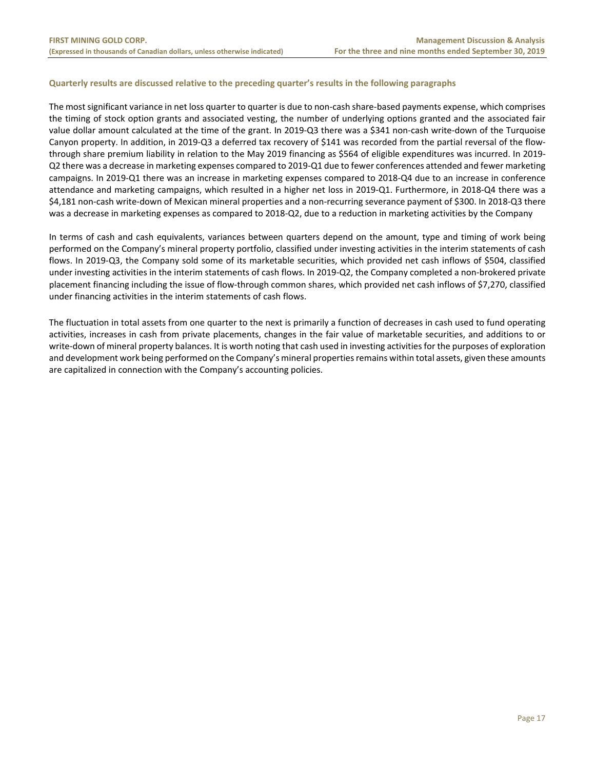# **Quarterly results are discussed relative to the preceding quarter's results in the following paragraphs**

The most significant variance in net loss quarter to quarter is due to non‐cash share‐based payments expense, which comprises the timing of stock option grants and associated vesting, the number of underlying options granted and the associated fair value dollar amount calculated at the time of the grant. In 2019‐Q3 there was a \$341 non‐cash write‐down of the Turquoise Canyon property. In addition, in 2019‐Q3 a deferred tax recovery of \$141 was recorded from the partial reversal of the flow‐ through share premium liability in relation to the May 2019 financing as \$564 of eligible expenditures was incurred. In 2019‐ Q2 there was a decrease in marketing expenses compared to 2019‐Q1 due to fewer conferences attended and fewer marketing campaigns. In 2019‐Q1 there was an increase in marketing expenses compared to 2018‐Q4 due to an increase in conference attendance and marketing campaigns, which resulted in a higher net loss in 2019‐Q1. Furthermore, in 2018‐Q4 there was a \$4,181 non-cash write-down of Mexican mineral properties and a non-recurring severance payment of \$300. In 2018-Q3 there was a decrease in marketing expenses as compared to 2018‐Q2, due to a reduction in marketing activities by the Company

In terms of cash and cash equivalents, variances between quarters depend on the amount, type and timing of work being performed on the Company's mineral property portfolio, classified under investing activities in the interim statements of cash flows. In 2019‐Q3, the Company sold some of its marketable securities, which provided net cash inflows of \$504, classified under investing activities in the interim statements of cash flows. In 2019-Q2, the Company completed a non-brokered private placement financing including the issue of flow‐through common shares, which provided net cash inflows of \$7,270, classified under financing activities in the interim statements of cash flows.

The fluctuation in total assets from one quarter to the next is primarily a function of decreases in cash used to fund operating activities, increases in cash from private placements, changes in the fair value of marketable securities, and additions to or write-down of mineral property balances. It is worth noting that cash used in investing activities for the purposes of exploration and development work being performed on the Company's mineral properties remains within total assets, given these amounts are capitalized in connection with the Company's accounting policies.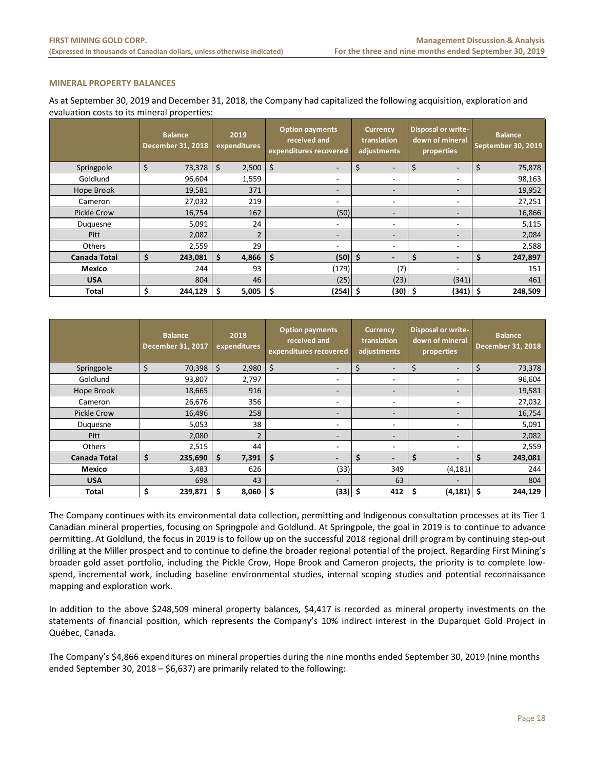# **MINERAL PROPERTY BALANCES**

As at September 30, 2019 and December 31, 2018, the Company had capitalized the following acquisition, exploration and evaluation costs to its mineral properties:

|                     |    | <b>Balance</b><br><b>December 31, 2018</b> |     | 2019<br>expenditures |     |                          |                          |    |                          |    |         | <b>Option payments</b><br>received and<br>expenditures recovered | <b>Currency</b><br>translation<br>adjustments |  | <b>Disposal or write-</b><br>down of mineral<br>properties |  | <b>Balance</b><br>September 30, 2019 |
|---------------------|----|--------------------------------------------|-----|----------------------|-----|--------------------------|--------------------------|----|--------------------------|----|---------|------------------------------------------------------------------|-----------------------------------------------|--|------------------------------------------------------------|--|--------------------------------------|
| Springpole          | \$ | 73,378                                     | \$  | 2,500                | \$  | $\overline{\phantom{a}}$ | \$<br>۰.                 |    | $\overline{\phantom{0}}$ | \$ | 75,878  |                                                                  |                                               |  |                                                            |  |                                      |
| Goldlund            |    | 96,604                                     |     | 1,559                |     | ۰                        | ۰                        |    | $\overline{\phantom{a}}$ |    | 98,163  |                                                                  |                                               |  |                                                            |  |                                      |
| Hope Brook          |    | 19,581                                     |     | 371                  |     | $\overline{\phantom{a}}$ | ۰.                       |    | $\overline{\phantom{a}}$ |    | 19,952  |                                                                  |                                               |  |                                                            |  |                                      |
| Cameron             |    | 27,032                                     |     | 219                  |     | ۰                        | ۰                        |    | $\overline{\phantom{a}}$ |    | 27,251  |                                                                  |                                               |  |                                                            |  |                                      |
| <b>Pickle Crow</b>  |    | 16,754                                     |     | 162                  |     | (50)                     | $\overline{\phantom{a}}$ |    | $\overline{\phantom{0}}$ |    | 16,866  |                                                                  |                                               |  |                                                            |  |                                      |
| Duguesne            |    | 5,091                                      |     | 24                   |     | ۰                        | ۰                        |    | $\overline{\phantom{a}}$ |    | 5,115   |                                                                  |                                               |  |                                                            |  |                                      |
| Pitt                |    | 2,082                                      |     | $\overline{2}$       |     | $\overline{\phantom{a}}$ | ۰.                       |    | $\overline{\phantom{a}}$ |    | 2,084   |                                                                  |                                               |  |                                                            |  |                                      |
| <b>Others</b>       |    | 2,559                                      |     | 29                   |     | ٠                        | $\overline{\phantom{a}}$ |    | $\overline{\phantom{a}}$ |    | 2,588   |                                                                  |                                               |  |                                                            |  |                                      |
| <b>Canada Total</b> | \$ | 243,081                                    | -\$ | 4,866                | \$  | $(50)$ \$                | $\overline{\phantom{0}}$ | S  | $\overline{\phantom{0}}$ | S  | 247,897 |                                                                  |                                               |  |                                                            |  |                                      |
| Mexico              |    | 244                                        |     | 93                   |     | (179)                    | (7)                      |    | $\overline{\phantom{a}}$ |    | 151     |                                                                  |                                               |  |                                                            |  |                                      |
| <b>USA</b>          |    | 804                                        |     | 46                   |     | (25)                     | (23)                     |    | (341)                    |    | 461     |                                                                  |                                               |  |                                                            |  |                                      |
| <b>Total</b>        | Ś  | 244,129                                    | -S  | 5,005                | \$. | (254)  \$                | (30)                     | \$ | $(341)$ \$               |    | 248,509 |                                                                  |                                               |  |                                                            |  |                                      |

|                     | <b>Balance</b><br><b>December 31, 2017</b> |     | 2018<br>expenditures |    | <b>Option payments</b><br>received and<br>expenditures recovered |     | <b>Currency</b><br>translation<br>adjustments |    | Disposal or write-<br>down of mineral<br>properties |    | <b>Balance</b><br><b>December 31, 2018</b> |
|---------------------|--------------------------------------------|-----|----------------------|----|------------------------------------------------------------------|-----|-----------------------------------------------|----|-----------------------------------------------------|----|--------------------------------------------|
| Springpole          | \$<br>70,398                               | \$  | 2,980                | \$ | -                                                                | \$  |                                               | \$ | -                                                   | \$ | 73,378                                     |
| Goldlund            | 93,807                                     |     | 2,797                |    | ۰                                                                |     | ۰.                                            |    | $\overline{\phantom{a}}$                            |    | 96,604                                     |
| Hope Brook          | 18,665                                     |     | 916                  |    | -                                                                |     | ۰.                                            |    | $\overline{\phantom{0}}$                            |    | 19,581                                     |
| Cameron             | 26,676                                     |     | 356                  |    | ۰                                                                |     | ۰.                                            |    | -                                                   |    | 27,032                                     |
| <b>Pickle Crow</b>  | 16,496                                     |     | 258                  |    | $\overline{\phantom{0}}$                                         |     | ۰                                             |    | $\overline{\phantom{0}}$                            |    | 16,754                                     |
| Duquesne            | 5,053                                      |     | 38                   |    | ۰                                                                |     | ٠                                             |    | -                                                   |    | 5,091                                      |
| Pitt                | 2,080                                      |     | $\overline{a}$       |    | -                                                                |     | ۰.                                            |    |                                                     |    | 2,082                                      |
| Others              | 2,515                                      |     | 44                   |    | ۰                                                                |     | ۰.                                            |    | $\overline{\phantom{a}}$                            |    | 2,559                                      |
| <b>Canada Total</b> | \$<br>235,690                              | -\$ | 7,391                | \$ | $\overline{\phantom{0}}$                                         | \$  | $\overline{\phantom{0}}$                      | \$ | $\overline{\phantom{0}}$                            | Ŝ  | 243,081                                    |
| Mexico              | 3,483                                      |     | 626                  |    | (33)                                                             |     | 349                                           |    | (4, 181)                                            |    | 244                                        |
| <b>USA</b>          | 698                                        |     | 43                   |    | -                                                                |     | 63                                            |    |                                                     |    | 804                                        |
| Total               | \$<br>239,871                              | -\$ | 8,060                | \$ | (33)                                                             | -\$ | 412                                           | \$ | $(4, 181)$ \$                                       |    | 244,129                                    |

The Company continues with its environmental data collection, permitting and Indigenous consultation processes at its Tier 1 Canadian mineral properties, focusing on Springpole and Goldlund. At Springpole, the goal in 2019 is to continue to advance permitting. At Goldlund, the focus in 2019 is to follow up on the successful 2018 regional drill program by continuing step-out drilling at the Miller prospect and to continue to define the broader regional potential of the project. Regarding First Mining's broader gold asset portfolio, including the Pickle Crow, Hope Brook and Cameron projects, the priority is to complete low‐ spend, incremental work, including baseline environmental studies, internal scoping studies and potential reconnaissance mapping and exploration work.

In addition to the above \$248,509 mineral property balances, \$4,417 is recorded as mineral property investments on the statements of financial position, which represents the Company's 10% indirect interest in the Duparquet Gold Project in Québec, Canada.

The Company's \$4,866 expenditures on mineral properties during the nine months ended September 30, 2019 (nine months ended September 30, 2018 – \$6,637) are primarily related to the following: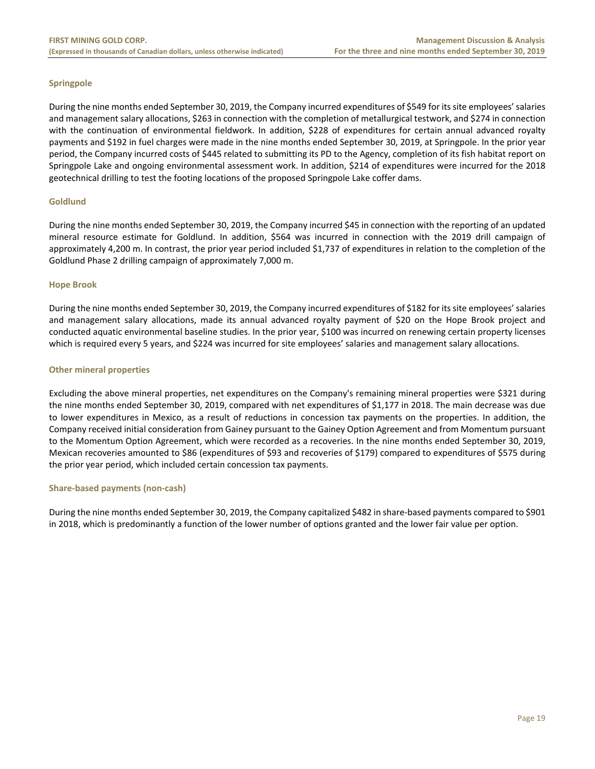# **Springpole**

During the nine months ended September 30, 2019, the Company incurred expenditures of \$549 for its site employees' salaries and management salary allocations, \$263 in connection with the completion of metallurgical testwork, and \$274 in connection with the continuation of environmental fieldwork. In addition, \$228 of expenditures for certain annual advanced royalty payments and \$192 in fuel charges were made in the nine months ended September 30, 2019, at Springpole. In the prior year period, the Company incurred costs of \$445 related to submitting its PD to the Agency, completion of its fish habitat report on Springpole Lake and ongoing environmental assessment work. In addition, \$214 of expenditures were incurred for the 2018 geotechnical drilling to test the footing locations of the proposed Springpole Lake coffer dams.

#### **Goldlund**

During the nine months ended September 30, 2019, the Company incurred \$45 in connection with the reporting of an updated mineral resource estimate for Goldlund. In addition, \$564 was incurred in connection with the 2019 drill campaign of approximately 4,200 m. In contrast, the prior year period included \$1,737 of expenditures in relation to the completion of the Goldlund Phase 2 drilling campaign of approximately 7,000 m.

#### **Hope Brook**

During the nine months ended September 30, 2019, the Company incurred expenditures of \$182 for its site employees' salaries and management salary allocations, made its annual advanced royalty payment of \$20 on the Hope Brook project and conducted aquatic environmental baseline studies. In the prior year, \$100 was incurred on renewing certain property licenses which is required every 5 years, and \$224 was incurred for site employees' salaries and management salary allocations.

#### **Other mineral properties**

Excluding the above mineral properties, net expenditures on the Company's remaining mineral properties were \$321 during the nine months ended September 30, 2019, compared with net expenditures of \$1,177 in 2018. The main decrease was due to lower expenditures in Mexico, as a result of reductions in concession tax payments on the properties. In addition, the Company received initial consideration from Gainey pursuant to the Gainey Option Agreement and from Momentum pursuant to the Momentum Option Agreement, which were recorded as a recoveries. In the nine months ended September 30, 2019, Mexican recoveries amounted to \$86 (expenditures of \$93 and recoveries of \$179) compared to expenditures of \$575 during the prior year period, which included certain concession tax payments.

# **Share‐based payments (non‐cash)**

During the nine months ended September 30, 2019, the Company capitalized \$482 in share‐based payments compared to \$901 in 2018, which is predominantly a function of the lower number of options granted and the lower fair value per option.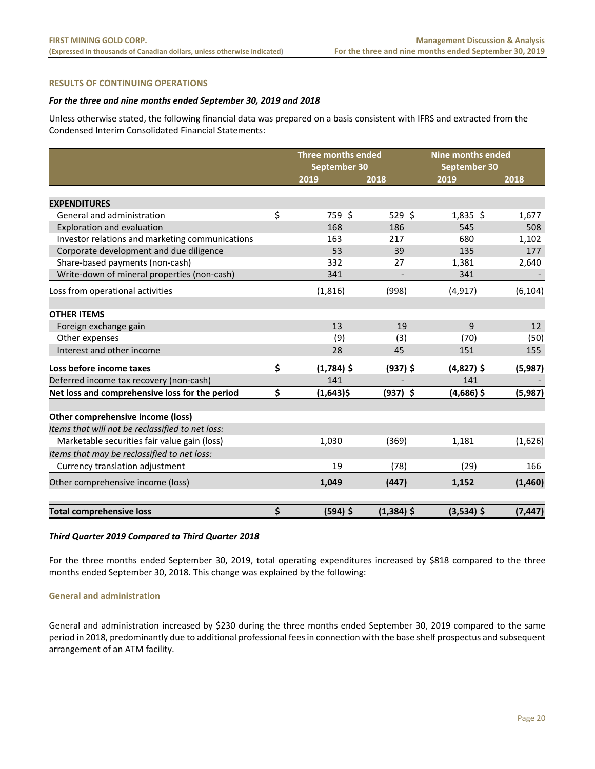# **RESULTS OF CONTINUING OPERATIONS**

#### *For the three and nine months ended September 30, 2019 and 2018*

Unless otherwise stated, the following financial data was prepared on a basis consistent with IFRS and extracted from the Condensed Interim Consolidated Financial Statements:

|                                                  | Three months ended<br>September 30 |              | <b>Nine months ended</b><br>September 30 |          |
|--------------------------------------------------|------------------------------------|--------------|------------------------------------------|----------|
|                                                  | 2019                               | 2018         | 2019                                     | 2018     |
|                                                  |                                    |              |                                          |          |
| <b>EXPENDITURES</b>                              |                                    |              |                                          |          |
| General and administration                       | \$<br>759 \$                       | 529 \$       | $1,835$ \$                               | 1,677    |
| Exploration and evaluation                       | 168                                | 186          | 545                                      | 508      |
| Investor relations and marketing communications  | 163                                | 217          | 680                                      | 1,102    |
| Corporate development and due diligence          | 53                                 | 39           | 135                                      | 177      |
| Share-based payments (non-cash)                  | 332                                | 27           | 1,381                                    | 2,640    |
| Write-down of mineral properties (non-cash)      | 341                                |              | 341                                      |          |
| Loss from operational activities                 | (1, 816)                           | (998)        | (4, 917)                                 | (6, 104) |
| <b>OTHER ITEMS</b>                               |                                    |              |                                          |          |
| Foreign exchange gain                            | 13                                 | 19           | 9                                        | 12       |
| Other expenses                                   | (9)                                | (3)          | (70)                                     | (50)     |
| Interest and other income                        | 28                                 | 45           | 151                                      | 155      |
| Loss before income taxes                         | \$<br>$(1,784)$ \$                 | $(937)$ \$   | $(4,827)$ \$                             | (5,987)  |
| Deferred income tax recovery (non-cash)          | 141                                |              | 141                                      |          |
| Net loss and comprehensive loss for the period   | \$<br>$(1,643)$ \$                 | $(937)$ \$   | $(4,686)$ \$                             | (5,987)  |
| Other comprehensive income (loss)                |                                    |              |                                          |          |
| Items that will not be reclassified to net loss: |                                    |              |                                          |          |
| Marketable securities fair value gain (loss)     | 1,030                              | (369)        | 1,181                                    | (1,626)  |
| Items that may be reclassified to net loss:      |                                    |              |                                          |          |
| Currency translation adjustment                  | 19                                 | (78)         | (29)                                     | 166      |
| Other comprehensive income (loss)                | 1,049                              | (447)        | 1,152                                    | (1,460)  |
| <b>Total comprehensive loss</b>                  | \$<br>$(594)$ \$                   | $(1,384)$ \$ | $(3,534)$ \$                             | (7, 447) |

# *Third Quarter 2019 Compared to Third Quarter 2018*

For the three months ended September 30, 2019, total operating expenditures increased by \$818 compared to the three months ended September 30, 2018. This change was explained by the following:

# **General and administration**

General and administration increased by \$230 during the three months ended September 30, 2019 compared to the same period in 2018, predominantly due to additional professional fees in connection with the base shelf prospectus and subsequent arrangement of an ATM facility.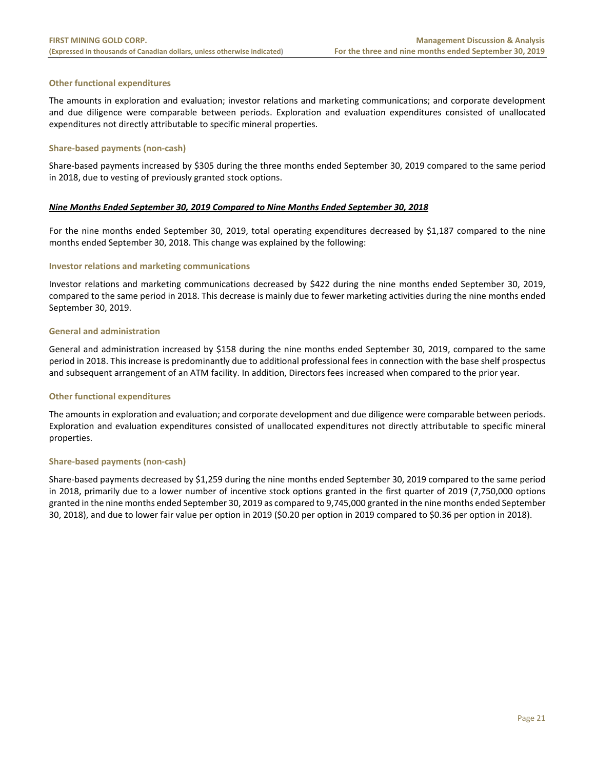# **Other functional expenditures**

The amounts in exploration and evaluation; investor relations and marketing communications; and corporate development and due diligence were comparable between periods. Exploration and evaluation expenditures consisted of unallocated expenditures not directly attributable to specific mineral properties.

#### **Share‐based payments (non‐cash)**

Share‐based payments increased by \$305 during the three months ended September 30, 2019 compared to the same period in 2018, due to vesting of previously granted stock options.

#### *Nine Months Ended September 30, 2019 Compared to Nine Months Ended September 30, 2018*

For the nine months ended September 30, 2019, total operating expenditures decreased by \$1,187 compared to the nine months ended September 30, 2018. This change was explained by the following:

#### **Investor relations and marketing communications**

Investor relations and marketing communications decreased by \$422 during the nine months ended September 30, 2019, compared to the same period in 2018. This decrease is mainly due to fewer marketing activities during the nine months ended September 30, 2019.

#### **General and administration**

General and administration increased by \$158 during the nine months ended September 30, 2019, compared to the same period in 2018. This increase is predominantly due to additional professional fees in connection with the base shelf prospectus and subsequent arrangement of an ATM facility. In addition, Directors fees increased when compared to the prior year.

#### **Other functional expenditures**

The amounts in exploration and evaluation; and corporate development and due diligence were comparable between periods. Exploration and evaluation expenditures consisted of unallocated expenditures not directly attributable to specific mineral properties.

#### **Share‐based payments (non‐cash)**

Share‐based payments decreased by \$1,259 during the nine months ended September 30, 2019 compared to the same period in 2018, primarily due to a lower number of incentive stock options granted in the first quarter of 2019 (7,750,000 options granted in the nine months ended September 30, 2019 as compared to 9,745,000 granted in the nine months ended September 30, 2018), and due to lower fair value per option in 2019 (\$0.20 per option in 2019 compared to \$0.36 per option in 2018).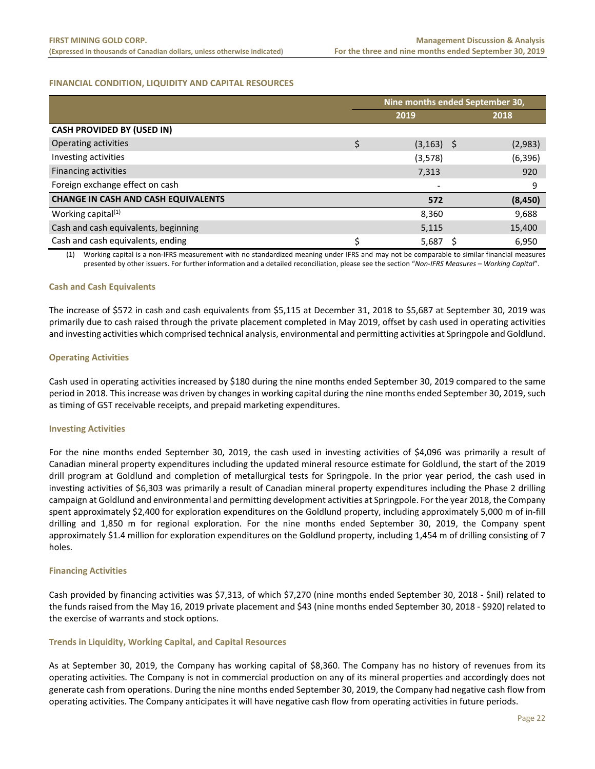# **FINANCIAL CONDITION, LIQUIDITY AND CAPITAL RESOURCES**

|                                            | Nine months ended September 30, |                          |  |          |  |  |
|--------------------------------------------|---------------------------------|--------------------------|--|----------|--|--|
|                                            |                                 | 2019                     |  | 2018     |  |  |
| <b>CASH PROVIDED BY (USED IN)</b>          |                                 |                          |  |          |  |  |
| Operating activities                       | \$                              | $(3, 163)$ \$            |  | (2,983)  |  |  |
| Investing activities                       |                                 | (3,578)                  |  | (6, 396) |  |  |
| <b>Financing activities</b>                |                                 | 7,313                    |  | 920      |  |  |
| Foreign exchange effect on cash            |                                 | $\overline{\phantom{a}}$ |  | 9        |  |  |
| <b>CHANGE IN CASH AND CASH EQUIVALENTS</b> |                                 | 572                      |  | (8, 450) |  |  |
| Working capital $(1)$                      |                                 | 8,360                    |  | 9,688    |  |  |
| Cash and cash equivalents, beginning       |                                 | 5,115                    |  | 15,400   |  |  |
| Cash and cash equivalents, ending          | ς                               | 5,687                    |  | 6,950    |  |  |

(1) Working capital is a non‐IFRS measurement with no standardized meaning under IFRS and may not be comparable to similar financial measures presented by other issuers. For further information and a detailed reconciliation, please see the section "*Non‐IFRS Measures – Working Capital*".

#### **Cash and Cash Equivalents**

The increase of \$572 in cash and cash equivalents from \$5,115 at December 31, 2018 to \$5,687 at September 30, 2019 was primarily due to cash raised through the private placement completed in May 2019, offset by cash used in operating activities and investing activities which comprised technical analysis, environmental and permitting activities at Springpole and Goldlund.

#### **Operating Activities**

Cash used in operating activities increased by \$180 during the nine months ended September 30, 2019 compared to the same period in 2018. This increase was driven by changes in working capital during the nine months ended September 30, 2019, such as timing of GST receivable receipts, and prepaid marketing expenditures.

#### **Investing Activities**

For the nine months ended September 30, 2019, the cash used in investing activities of \$4,096 was primarily a result of Canadian mineral property expenditures including the updated mineral resource estimate for Goldlund, the start of the 2019 drill program at Goldlund and completion of metallurgical tests for Springpole. In the prior year period, the cash used in investing activities of \$6,303 was primarily a result of Canadian mineral property expenditures including the Phase 2 drilling campaign at Goldlund and environmental and permitting development activities at Springpole. For the year 2018, the Company spent approximately \$2,400 for exploration expenditures on the Goldlund property, including approximately 5,000 m of in‐fill drilling and 1,850 m for regional exploration. For the nine months ended September 30, 2019, the Company spent approximately \$1.4 million for exploration expenditures on the Goldlund property, including 1,454 m of drilling consisting of 7 holes.

#### **Financing Activities**

Cash provided by financing activities was \$7,313, of which \$7,270 (nine months ended September 30, 2018 ‐ \$nil) related to the funds raised from the May 16, 2019 private placement and \$43 (nine months ended September 30, 2018 ‐ \$920) related to the exercise of warrants and stock options.

#### **Trends in Liquidity, Working Capital, and Capital Resources**

As at September 30, 2019, the Company has working capital of \$8,360. The Company has no history of revenues from its operating activities. The Company is not in commercial production on any of its mineral properties and accordingly does not generate cash from operations. During the nine months ended September 30, 2019, the Company had negative cash flow from operating activities. The Company anticipates it will have negative cash flow from operating activities in future periods.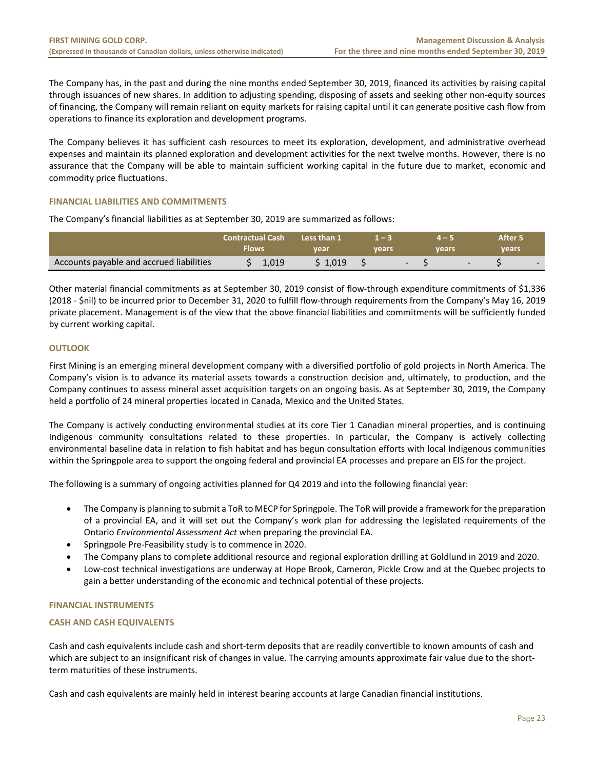The Company has, in the past and during the nine months ended September 30, 2019, financed its activities by raising capital through issuances of new shares. In addition to adjusting spending, disposing of assets and seeking other non‐equity sources of financing, the Company will remain reliant on equity markets for raising capital until it can generate positive cash flow from operations to finance its exploration and development programs.

The Company believes it has sufficient cash resources to meet its exploration, development, and administrative overhead expenses and maintain its planned exploration and development activities for the next twelve months. However, there is no assurance that the Company will be able to maintain sufficient working capital in the future due to market, economic and commodity price fluctuations.

# **FINANCIAL LIABILITIES AND COMMITMENTS**

The Company's financial liabilities as at September 30, 2019 are summarized as follows:

|                                          | <b>Contractual Cash</b><br>Flows |       | Less than 1<br>vear | vears |  | vears |  | After 5<br><b>vears</b> |  |
|------------------------------------------|----------------------------------|-------|---------------------|-------|--|-------|--|-------------------------|--|
| Accounts payable and accrued liabilities |                                  | 1,019 | $\backslash$ 1.019  |       |  |       |  |                         |  |

Other material financial commitments as at September 30, 2019 consist of flow‐through expenditure commitments of \$1,336 (2018 ‐ \$nil) to be incurred prior to December 31, 2020 to fulfill flow‐through requirements from the Company's May 16, 2019 private placement. Management is of the view that the above financial liabilities and commitments will be sufficiently funded by current working capital.

# **OUTLOOK**

First Mining is an emerging mineral development company with a diversified portfolio of gold projects in North America. The Company's vision is to advance its material assets towards a construction decision and, ultimately, to production, and the Company continues to assess mineral asset acquisition targets on an ongoing basis. As at September 30, 2019, the Company held a portfolio of 24 mineral properties located in Canada, Mexico and the United States.

The Company is actively conducting environmental studies at its core Tier 1 Canadian mineral properties, and is continuing Indigenous community consultations related to these properties. In particular, the Company is actively collecting environmental baseline data in relation to fish habitat and has begun consultation efforts with local Indigenous communities within the Springpole area to support the ongoing federal and provincial EA processes and prepare an EIS for the project.

The following is a summary of ongoing activities planned for Q4 2019 and into the following financial year:

- The Company is planning to submit a ToR to MECP for Springpole. The ToR will provide a framework for the preparation of a provincial EA, and it will set out the Company's work plan for addressing the legislated requirements of the Ontario *Environmental Assessment Act* when preparing the provincial EA.
- Springpole Pre‐Feasibility study is to commence in 2020.
- The Company plans to complete additional resource and regional exploration drilling at Goldlund in 2019 and 2020.
- Low‐cost technical investigations are underway at Hope Brook, Cameron, Pickle Crow and at the Quebec projects to gain a better understanding of the economic and technical potential of these projects.

# **FINANCIAL INSTRUMENTS**

# **CASH AND CASH EQUIVALENTS**

Cash and cash equivalents include cash and short‐term deposits that are readily convertible to known amounts of cash and which are subject to an insignificant risk of changes in value. The carrying amounts approximate fair value due to the shortterm maturities of these instruments.

Cash and cash equivalents are mainly held in interest bearing accounts at large Canadian financial institutions.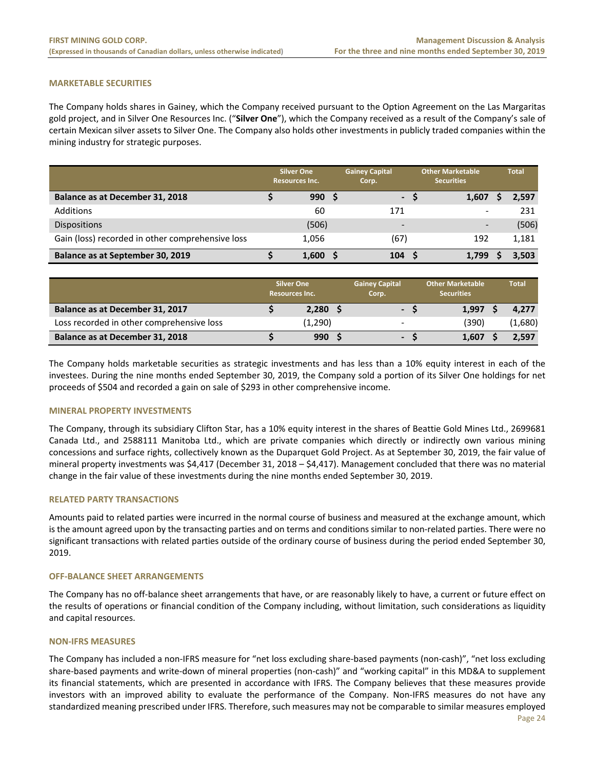# **MARKETABLE SECURITIES**

The Company holds shares in Gainey, which the Company received pursuant to the Option Agreement on the Las Margaritas gold project, and in Silver One Resources Inc. ("**Silver One**"), which the Company received as a result of the Company's sale of certain Mexican silver assets to Silver One. The Company also holds other investments in publicly traded companies within the mining industry for strategic purposes.

|                                                  | <b>Silver One</b><br><b>Resources Inc.</b> |       | <b>Gainey Capital</b><br>Corp. | <b>Other Marketable</b> |       | <b>Total</b> |
|--------------------------------------------------|--------------------------------------------|-------|--------------------------------|-------------------------|-------|--------------|
| Balance as at December 31, 2018                  |                                            | 990S  | $\blacksquare$                 |                         | 1,607 | 2,597        |
| Additions                                        |                                            | 60    | 171                            |                         |       | 231          |
| <b>Dispositions</b>                              |                                            | (506) | $\overline{\phantom{0}}$       |                         |       | (506)        |
| Gain (loss) recorded in other comprehensive loss |                                            | 1,056 | (67)                           |                         | 192   | 1,181        |
| Balance as at September 30, 2019                 |                                            | 1,600 | 104                            |                         | 1,799 | 3.503        |

|                                           | <b>Silver One</b><br><b>Resources Inc.</b> |         | <b>Gainey Capital</b><br>Corp. | <b>Other Marketable</b><br><b>Securities</b> | <b>Total</b> |
|-------------------------------------------|--------------------------------------------|---------|--------------------------------|----------------------------------------------|--------------|
| Balance as at December 31, 2017           |                                            | 2,280   | - S                            | 1.997                                        | 4.277        |
| Loss recorded in other comprehensive loss |                                            | (1,290) | -                              | (390)                                        | (1,680)      |
| Balance as at December 31, 2018           |                                            | 990     | $\sim$                         | 1.607                                        | 2.597        |

The Company holds marketable securities as strategic investments and has less than a 10% equity interest in each of the investees. During the nine months ended September 30, 2019, the Company sold a portion of its Silver One holdings for net proceeds of \$504 and recorded a gain on sale of \$293 in other comprehensive income.

#### **MINERAL PROPERTY INVESTMENTS**

The Company, through its subsidiary Clifton Star, has a 10% equity interest in the shares of Beattie Gold Mines Ltd., 2699681 Canada Ltd., and 2588111 Manitoba Ltd., which are private companies which directly or indirectly own various mining concessions and surface rights, collectively known as the Duparquet Gold Project. As at September 30, 2019, the fair value of mineral property investments was \$4,417 (December 31, 2018 – \$4,417). Management concluded that there was no material change in the fair value of these investments during the nine months ended September 30, 2019.

#### **RELATED PARTY TRANSACTIONS**

Amounts paid to related parties were incurred in the normal course of business and measured at the exchange amount, which is the amount agreed upon by the transacting parties and on terms and conditions similar to non-related parties. There were no significant transactions with related parties outside of the ordinary course of business during the period ended September 30, 2019.

#### **OFF‐BALANCE SHEET ARRANGEMENTS**

The Company has no off‐balance sheet arrangements that have, or are reasonably likely to have, a current or future effect on the results of operations or financial condition of the Company including, without limitation, such considerations as liquidity and capital resources.

#### **NON‐IFRS MEASURES**

The Company has included a non‐IFRS measure for "net loss excluding share‐based payments (non‐cash)", "net loss excluding share-based payments and write-down of mineral properties (non-cash)" and "working capital" in this MD&A to supplement its financial statements, which are presented in accordance with IFRS. The Company believes that these measures provide investors with an improved ability to evaluate the performance of the Company. Non‐IFRS measures do not have any standardized meaning prescribed under IFRS. Therefore, such measures may not be comparable to similar measures employed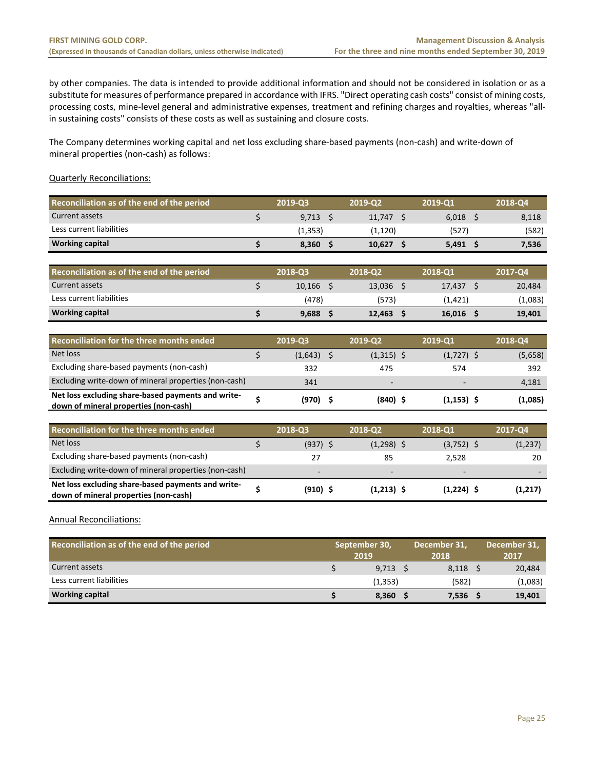by other companies. The data is intended to provide additional information and should not be considered in isolation or as a substitute for measures of performance prepared in accordance with IFRS. "Direct operating cash costs" consist of mining costs, processing costs, mine-level general and administrative expenses, treatment and refining charges and royalties, whereas "allin sustaining costs" consists of these costs as well as sustaining and closure costs.

The Company determines working capital and net loss excluding share‐based payments (non‐cash) and write‐down of mineral properties (non‐cash) as follows:

# Quarterly Reconciliations:

| Reconciliation as of the end of the period | 2019-03 | 2019-02  | 2019-01 | 2018-Q4 |
|--------------------------------------------|---------|----------|---------|---------|
| Current assets                             | 9,713   | 11.747   | 6.018   | 8,118   |
| Less current liabilities                   | (1,353) | (1, 120) | (527)   | (582)   |
| <b>Working capital</b>                     | 8.360   | 10.627   | 5,491   | 7,536   |

| Reconciliation as of the end of the period | 2018-Q3 | 2018-02 | 2018-01  | 2017-04 |
|--------------------------------------------|---------|---------|----------|---------|
| Current assets                             | 10.166  | 13.036  | 17.437   | 20,484  |
| Less current liabilities                   | (478)   | (573)   | (1, 421) | (1,083) |
| <b>Working capital</b>                     | 9.688   | 12.463  | 16.016   | 19,401  |

| Reconciliation for the three months ended                                                   | 2019-Q3 | 2019-Q2                  | 2019-Q1                  | 2018-Q4 |
|---------------------------------------------------------------------------------------------|---------|--------------------------|--------------------------|---------|
| Net loss                                                                                    | (1,643) | $(1,315)$ \$             | $(1,727)$ \$             | (5,658) |
| Excluding share-based payments (non-cash)                                                   | 332     | 475                      | 574                      | 392     |
| Excluding write-down of mineral properties (non-cash)                                       | 341     | $\overline{\phantom{a}}$ | $\overline{\phantom{0}}$ | 4,181   |
| Net loss excluding share-based payments and write-<br>down of mineral properties (non-cash) | (970)   | $(840)$ \$               | $(1, 153)$ \$            | (1,085) |

| Reconciliation for the three months ended                                                   | 2018-03    | 2018-02      | 2018-Q1                  | 2017-Q4 |
|---------------------------------------------------------------------------------------------|------------|--------------|--------------------------|---------|
| Net loss                                                                                    | $(937)$ \$ | $(1,298)$ \$ | $(3,752)$ \$             | (1,237) |
| Excluding share-based payments (non-cash)                                                   | 27         | 85           | 2.528                    | 20      |
| Excluding write-down of mineral properties (non-cash)                                       | $\sim$     | $\sim$       | $\overline{\phantom{0}}$ |         |
| Net loss excluding share-based payments and write-<br>down of mineral properties (non-cash) | $(910)$ \$ | $(1,213)$ \$ | $(1,224)$ \$             | (1,217) |

Annual Reconciliations:

| Reconciliation as of the end of the period | September 30, |          | December 31, |       | December 31, |         |
|--------------------------------------------|---------------|----------|--------------|-------|--------------|---------|
|                                            |               | 2019     |              | 2018  |              | 2017    |
| Current assets                             |               | 9.713    |              | 8,118 |              | 20,484  |
| Less current liabilities                   |               | (1, 353) |              | (582) |              | (1,083) |
| <b>Working capital</b>                     |               | 8,360    |              | 7,536 |              | 19,401  |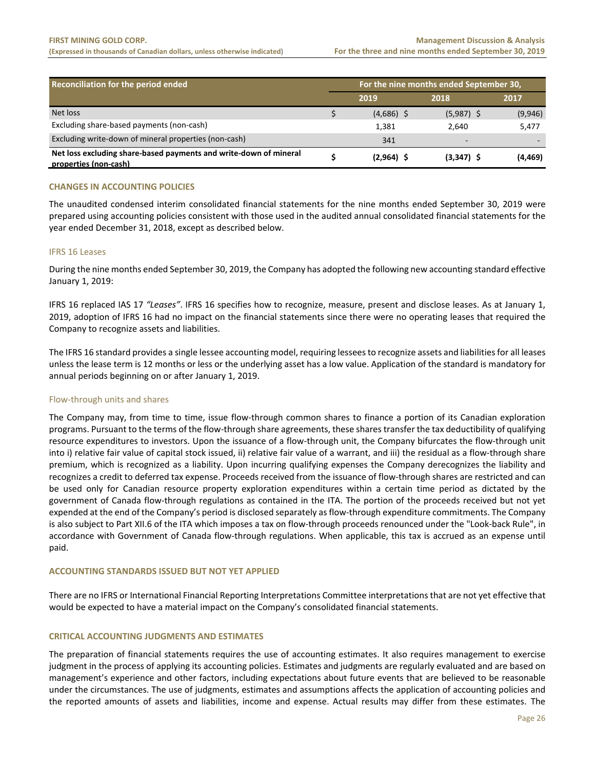| Reconciliation for the period ended                                                        |  | For the nine months ended September 30, |              |          |  |  |  |
|--------------------------------------------------------------------------------------------|--|-----------------------------------------|--------------|----------|--|--|--|
|                                                                                            |  | 2019                                    | 2018         | 2017     |  |  |  |
| Net loss                                                                                   |  | $(4,686)$ \$                            | $(5,987)$ \$ | (9,946)  |  |  |  |
| Excluding share-based payments (non-cash)                                                  |  | 1,381                                   | 2.640        | 5,477    |  |  |  |
| Excluding write-down of mineral properties (non-cash)                                      |  | 341                                     | $\sim$       |          |  |  |  |
| Net loss excluding share-based payments and write-down of mineral<br>properties (non-cash) |  | $(2,964)$ \$                            | $(3,347)$ \$ | (4, 469) |  |  |  |

# **CHANGES IN ACCOUNTING POLICIES**

The unaudited condensed interim consolidated financial statements for the nine months ended September 30, 2019 were prepared using accounting policies consistent with those used in the audited annual consolidated financial statements for the year ended December 31, 2018, except as described below.

#### IFRS 16 Leases

During the nine months ended September 30, 2019, the Company has adopted the following new accounting standard effective January 1, 2019:

IFRS 16 replaced IAS 17 *"Leases"*. IFRS 16 specifies how to recognize, measure, present and disclose leases. As at January 1, 2019, adoption of IFRS 16 had no impact on the financial statements since there were no operating leases that required the Company to recognize assets and liabilities.

The IFRS 16 standard provides a single lessee accounting model, requiring lessees to recognize assets and liabilities for all leases unless the lease term is 12 months or less or the underlying asset has a low value. Application of the standard is mandatory for annual periods beginning on or after January 1, 2019.

#### Flow‐through units and shares

The Company may, from time to time, issue flow-through common shares to finance a portion of its Canadian exploration programs. Pursuant to the terms of the flow‐through share agreements, these shares transfer the tax deductibility of qualifying resource expenditures to investors. Upon the issuance of a flow-through unit, the Company bifurcates the flow-through unit into i) relative fair value of capital stock issued, ii) relative fair value of a warrant, and iii) the residual as a flow‐through share premium, which is recognized as a liability. Upon incurring qualifying expenses the Company derecognizes the liability and recognizes a credit to deferred tax expense. Proceeds received from the issuance of flow‐through shares are restricted and can be used only for Canadian resource property exploration expenditures within a certain time period as dictated by the government of Canada flow-through regulations as contained in the ITA. The portion of the proceeds received but not yet expended at the end of the Company's period is disclosed separately as flow‐through expenditure commitments. The Company is also subject to Part XII.6 of the ITA which imposes a tax on flow‐through proceeds renounced under the "Look‐back Rule", in accordance with Government of Canada flow-through regulations. When applicable, this tax is accrued as an expense until paid.

#### **ACCOUNTING STANDARDS ISSUED BUT NOT YET APPLIED**

There are no IFRS or International Financial Reporting Interpretations Committee interpretations that are not yet effective that would be expected to have a material impact on the Company's consolidated financial statements.

# **CRITICAL ACCOUNTING JUDGMENTS AND ESTIMATES**

The preparation of financial statements requires the use of accounting estimates. It also requires management to exercise judgment in the process of applying its accounting policies. Estimates and judgments are regularly evaluated and are based on management's experience and other factors, including expectations about future events that are believed to be reasonable under the circumstances. The use of judgments, estimates and assumptions affects the application of accounting policies and the reported amounts of assets and liabilities, income and expense. Actual results may differ from these estimates. The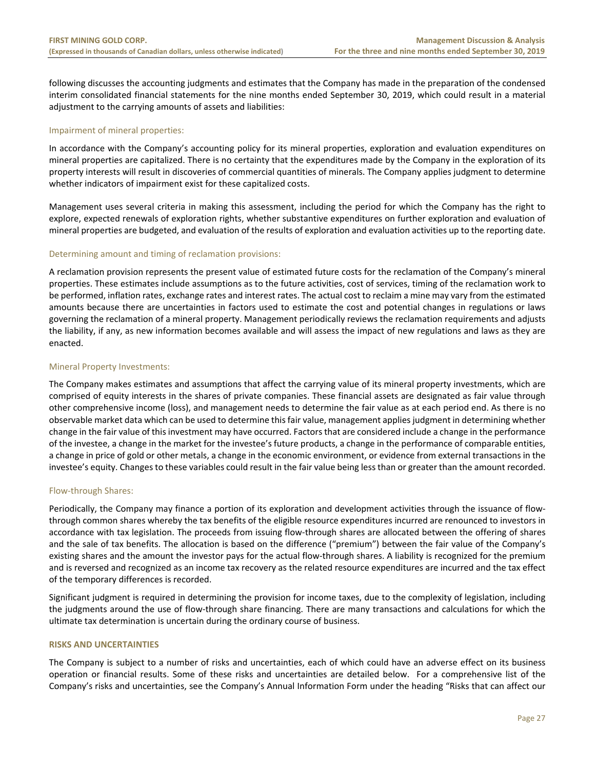following discusses the accounting judgments and estimates that the Company has made in the preparation of the condensed interim consolidated financial statements for the nine months ended September 30, 2019, which could result in a material adjustment to the carrying amounts of assets and liabilities:

#### Impairment of mineral properties:

In accordance with the Company's accounting policy for its mineral properties, exploration and evaluation expenditures on mineral properties are capitalized. There is no certainty that the expenditures made by the Company in the exploration of its property interests will result in discoveries of commercial quantities of minerals. The Company applies judgment to determine whether indicators of impairment exist for these capitalized costs.

Management uses several criteria in making this assessment, including the period for which the Company has the right to explore, expected renewals of exploration rights, whether substantive expenditures on further exploration and evaluation of mineral properties are budgeted, and evaluation of the results of exploration and evaluation activities up to the reporting date.

# Determining amount and timing of reclamation provisions:

A reclamation provision represents the present value of estimated future costs for the reclamation of the Company's mineral properties. These estimates include assumptions as to the future activities, cost of services, timing of the reclamation work to be performed, inflation rates, exchange rates and interest rates. The actual cost to reclaim a mine may vary from the estimated amounts because there are uncertainties in factors used to estimate the cost and potential changes in regulations or laws governing the reclamation of a mineral property. Management periodically reviews the reclamation requirements and adjusts the liability, if any, as new information becomes available and will assess the impact of new regulations and laws as they are enacted.

#### Mineral Property Investments:

The Company makes estimates and assumptions that affect the carrying value of its mineral property investments, which are comprised of equity interests in the shares of private companies. These financial assets are designated as fair value through other comprehensive income (loss), and management needs to determine the fair value as at each period end. As there is no observable market data which can be used to determine this fair value, management applies judgment in determining whether change in the fair value of this investment may have occurred. Factors that are considered include a change in the performance of the investee, a change in the market for the investee's future products, a change in the performance of comparable entities, a change in price of gold or other metals, a change in the economic environment, or evidence from external transactions in the investee's equity. Changes to these variables could result in the fair value being less than or greater than the amount recorded.

# Flow‐through Shares:

Periodically, the Company may finance a portion of its exploration and development activities through the issuance of flow‐ through common shares whereby the tax benefits of the eligible resource expenditures incurred are renounced to investors in accordance with tax legislation. The proceeds from issuing flow-through shares are allocated between the offering of shares and the sale of tax benefits. The allocation is based on the difference ("premium") between the fair value of the Company's existing shares and the amount the investor pays for the actual flow-through shares. A liability is recognized for the premium and is reversed and recognized as an income tax recovery as the related resource expenditures are incurred and the tax effect of the temporary differences is recorded.

Significant judgment is required in determining the provision for income taxes, due to the complexity of legislation, including the judgments around the use of flow‐through share financing. There are many transactions and calculations for which the ultimate tax determination is uncertain during the ordinary course of business.

#### **RISKS AND UNCERTAINTIES**

The Company is subject to a number of risks and uncertainties, each of which could have an adverse effect on its business operation or financial results. Some of these risks and uncertainties are detailed below. For a comprehensive list of the Company's risks and uncertainties, see the Company's Annual Information Form under the heading "Risks that can affect our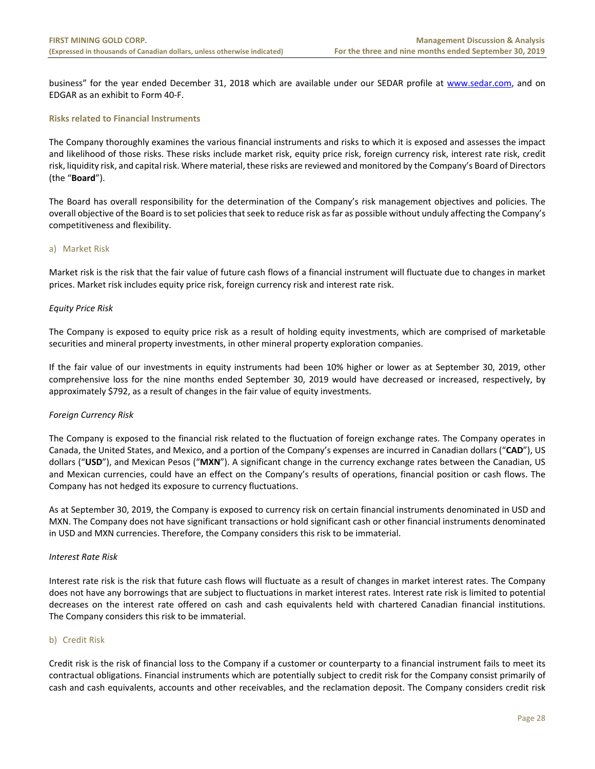business" for the year ended December 31, 2018 which are available under our SEDAR profile at www.sedar.com, and on EDGAR as an exhibit to Form 40‐F.

### **Risks related to Financial Instruments**

The Company thoroughly examines the various financial instruments and risks to which it is exposed and assesses the impact and likelihood of those risks. These risks include market risk, equity price risk, foreign currency risk, interest rate risk, credit risk, liquidity risk, and capital risk. Where material, these risks are reviewed and monitored by the Company's Board of Directors (the "**Board**").

The Board has overall responsibility for the determination of the Company's risk management objectives and policies. The overall objective of the Board is to set policies that seek to reduce risk as far as possible without unduly affecting the Company's competitiveness and flexibility.

# a) Market Risk

Market risk is the risk that the fair value of future cash flows of a financial instrument will fluctuate due to changes in market prices. Market risk includes equity price risk, foreign currency risk and interest rate risk.

# *Equity Price Risk*

The Company is exposed to equity price risk as a result of holding equity investments, which are comprised of marketable securities and mineral property investments, in other mineral property exploration companies.

If the fair value of our investments in equity instruments had been 10% higher or lower as at September 30, 2019, other comprehensive loss for the nine months ended September 30, 2019 would have decreased or increased, respectively, by approximately \$792, as a result of changes in the fair value of equity investments.

#### *Foreign Currency Risk*

The Company is exposed to the financial risk related to the fluctuation of foreign exchange rates. The Company operates in Canada, the United States, and Mexico, and a portion of the Company's expenses are incurred in Canadian dollars ("**CAD**"), US dollars ("**USD**"), and Mexican Pesos ("**MXN**"). A significant change in the currency exchange rates between the Canadian, US and Mexican currencies, could have an effect on the Company's results of operations, financial position or cash flows. The Company has not hedged its exposure to currency fluctuations.

As at September 30, 2019, the Company is exposed to currency risk on certain financial instruments denominated in USD and MXN. The Company does not have significant transactions or hold significant cash or other financial instruments denominated in USD and MXN currencies. Therefore, the Company considers this risk to be immaterial.

#### *Interest Rate Risk*

Interest rate risk is the risk that future cash flows will fluctuate as a result of changes in market interest rates. The Company does not have any borrowings that are subject to fluctuations in market interest rates. Interest rate risk is limited to potential decreases on the interest rate offered on cash and cash equivalents held with chartered Canadian financial institutions. The Company considers this risk to be immaterial.

# b) Credit Risk

Credit risk is the risk of financial loss to the Company if a customer or counterparty to a financial instrument fails to meet its contractual obligations. Financial instruments which are potentially subject to credit risk for the Company consist primarily of cash and cash equivalents, accounts and other receivables, and the reclamation deposit. The Company considers credit risk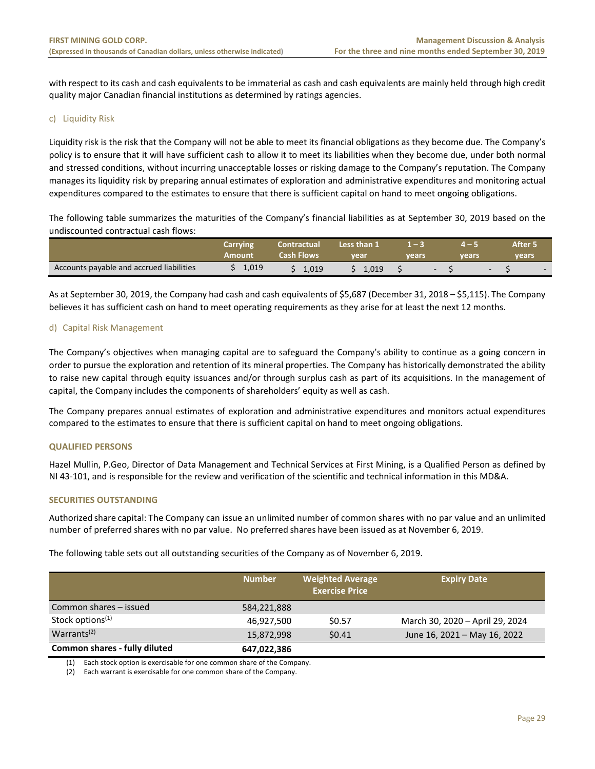with respect to its cash and cash equivalents to be immaterial as cash and cash equivalents are mainly held through high credit quality major Canadian financial institutions as determined by ratings agencies.

# c) Liquidity Risk

Liquidity risk is the risk that the Company will not be able to meet its financial obligations as they become due. The Company's policy is to ensure that it will have sufficient cash to allow it to meet its liabilities when they become due, under both normal and stressed conditions, without incurring unacceptable losses or risking damage to the Company's reputation. The Company manages its liquidity risk by preparing annual estimates of exploration and administrative expenditures and monitoring actual expenditures compared to the estimates to ensure that there is sufficient capital on hand to meet ongoing obligations.

The following table summarizes the maturities of the Company's financial liabilities as at September 30, 2019 based on the undiscounted contractual cash flows:

|                                          | Carrying | Contractual       | Less than 1 |                          |       | After 5 |
|------------------------------------------|----------|-------------------|-------------|--------------------------|-------|---------|
|                                          | Amount   | <b>Cash Flows</b> | vear        | vears                    | vears | vears   |
| Accounts payable and accrued liabilities | 1,019    | 1,019             | 1.019       | $\overline{\phantom{0}}$ |       | $-$     |

As at September 30, 2019, the Company had cash and cash equivalents of \$5,687 (December 31, 2018 – \$5,115). The Company believes it has sufficient cash on hand to meet operating requirements as they arise for at least the next 12 months.

# d) Capital Risk Management

The Company's objectives when managing capital are to safeguard the Company's ability to continue as a going concern in order to pursue the exploration and retention of its mineral properties. The Company has historically demonstrated the ability to raise new capital through equity issuances and/or through surplus cash as part of its acquisitions. In the management of capital, the Company includes the components of shareholders' equity as well as cash.

The Company prepares annual estimates of exploration and administrative expenditures and monitors actual expenditures compared to the estimates to ensure that there is sufficient capital on hand to meet ongoing obligations.

#### **QUALIFIED PERSONS**

Hazel Mullin, P.Geo, Director of Data Management and Technical Services at First Mining, is a Qualified Person as defined by NI 43‐101, and is responsible for the review and verification of the scientific and technical information in this MD&A.

#### **SECURITIES OUTSTANDING**

Authorized share capital: The Company can issue an unlimited number of common shares with no par value and an unlimited number of preferred shares with no par value. No preferred shares have been issued as at November 6, 2019.

The following table sets out all outstanding securities of the Company as of November 6, 2019.

|                               | <b>Number</b> | <b>Weighted Average</b><br><b>Exercise Price</b> | <b>Expiry Date</b>              |
|-------------------------------|---------------|--------------------------------------------------|---------------------------------|
| Common shares – issued        | 584,221,888   |                                                  |                                 |
| Stock options <sup>(1)</sup>  | 46,927,500    | \$0.57                                           | March 30, 2020 - April 29, 2024 |
| Warrants <sup>(2)</sup>       | 15,872,998    | \$0.41                                           | June 16, 2021 - May 16, 2022    |
| Common shares - fully diluted | 647,022,386   |                                                  |                                 |

(1) Each stock option is exercisable for one common share of the Company.

(2) Each warrant is exercisable for one common share of the Company.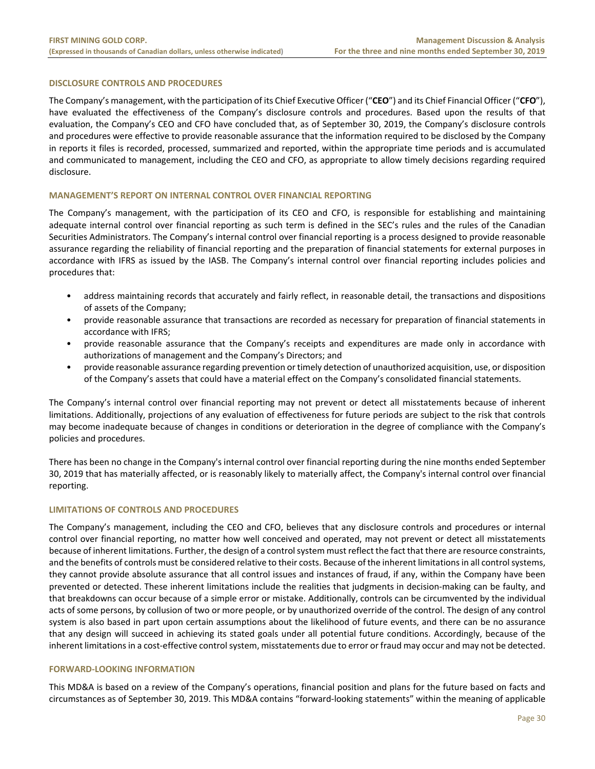#### **DISCLOSURE CONTROLS AND PROCEDURES**

The Company's management, with the participation of its Chief Executive Officer ("**CEO**") and its Chief Financial Officer ("**CFO**"), have evaluated the effectiveness of the Company's disclosure controls and procedures. Based upon the results of that evaluation, the Company's CEO and CFO have concluded that, as of September 30, 2019, the Company's disclosure controls and procedures were effective to provide reasonable assurance that the information required to be disclosed by the Company in reports it files is recorded, processed, summarized and reported, within the appropriate time periods and is accumulated and communicated to management, including the CEO and CFO, as appropriate to allow timely decisions regarding required disclosure.

#### **MANAGEMENT'S REPORT ON INTERNAL CONTROL OVER FINANCIAL REPORTING**

The Company's management, with the participation of its CEO and CFO, is responsible for establishing and maintaining adequate internal control over financial reporting as such term is defined in the SEC's rules and the rules of the Canadian Securities Administrators. The Company's internal control over financial reporting is a process designed to provide reasonable assurance regarding the reliability of financial reporting and the preparation of financial statements for external purposes in accordance with IFRS as issued by the IASB. The Company's internal control over financial reporting includes policies and procedures that:

- address maintaining records that accurately and fairly reflect, in reasonable detail, the transactions and dispositions of assets of the Company;
- provide reasonable assurance that transactions are recorded as necessary for preparation of financial statements in accordance with IFRS;
- provide reasonable assurance that the Company's receipts and expenditures are made only in accordance with authorizations of management and the Company's Directors; and
- provide reasonable assurance regarding prevention or timely detection of unauthorized acquisition, use, or disposition of the Company's assets that could have a material effect on the Company's consolidated financial statements.

The Company's internal control over financial reporting may not prevent or detect all misstatements because of inherent limitations. Additionally, projections of any evaluation of effectiveness for future periods are subject to the risk that controls may become inadequate because of changes in conditions or deterioration in the degree of compliance with the Company's policies and procedures.

There has been no change in the Company's internal control over financial reporting during the nine months ended September 30, 2019 that has materially affected, or is reasonably likely to materially affect, the Company's internal control over financial reporting.

#### **LIMITATIONS OF CONTROLS AND PROCEDURES**

The Company's management, including the CEO and CFO, believes that any disclosure controls and procedures or internal control over financial reporting, no matter how well conceived and operated, may not prevent or detect all misstatements because of inherent limitations. Further, the design of a control system must reflect the fact that there are resource constraints, and the benefits of controls must be considered relative to their costs. Because of the inherent limitations in all control systems, they cannot provide absolute assurance that all control issues and instances of fraud, if any, within the Company have been prevented or detected. These inherent limitations include the realities that judgments in decision‐making can be faulty, and that breakdowns can occur because of a simple error or mistake. Additionally, controls can be circumvented by the individual acts of some persons, by collusion of two or more people, or by unauthorized override of the control. The design of any control system is also based in part upon certain assumptions about the likelihood of future events, and there can be no assurance that any design will succeed in achieving its stated goals under all potential future conditions. Accordingly, because of the inherent limitations in a cost-effective control system, misstatements due to error or fraud may occur and may not be detected.

#### **FORWARD‐LOOKING INFORMATION**

This MD&A is based on a review of the Company's operations, financial position and plans for the future based on facts and circumstances as of September 30, 2019. This MD&A contains "forward‐looking statements" within the meaning of applicable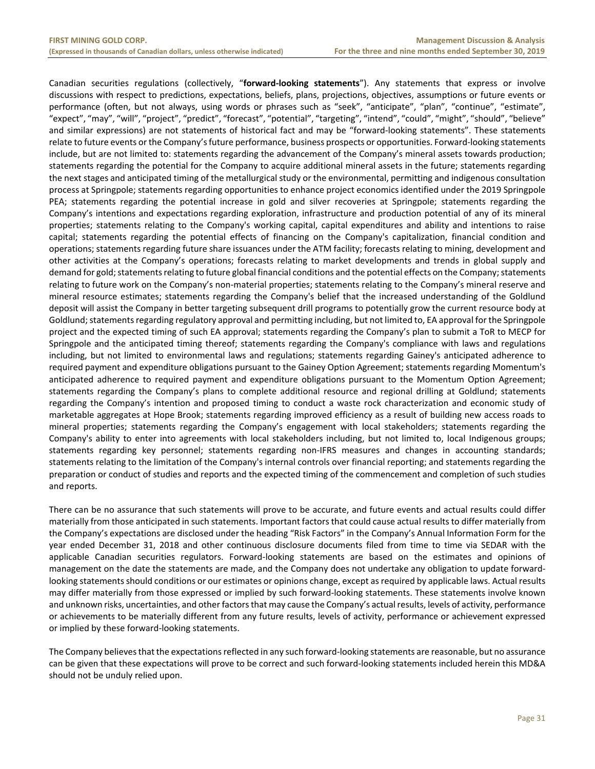Canadian securities regulations (collectively, "**forward‐looking statements**"). Any statements that express or involve discussions with respect to predictions, expectations, beliefs, plans, projections, objectives, assumptions or future events or performance (often, but not always, using words or phrases such as "seek", "anticipate", "plan", "continue", "estimate", "expect", "may", "will", "project", "predict", "forecast", "potential", "targeting", "intend", "could", "might", "should", "believe" and similar expressions) are not statements of historical fact and may be "forward-looking statements". These statements relate to future events or the Company's future performance, business prospects or opportunities. Forward‐looking statements include, but are not limited to: statements regarding the advancement of the Company's mineral assets towards production; statements regarding the potential for the Company to acquire additional mineral assets in the future; statements regarding the next stages and anticipated timing of the metallurgical study or the environmental, permitting and indigenous consultation process at Springpole; statements regarding opportunities to enhance project economics identified under the 2019 Springpole PEA; statements regarding the potential increase in gold and silver recoveries at Springpole; statements regarding the Company's intentions and expectations regarding exploration, infrastructure and production potential of any of its mineral properties; statements relating to the Company's working capital, capital expenditures and ability and intentions to raise capital; statements regarding the potential effects of financing on the Company's capitalization, financial condition and operations; statements regarding future share issuances under the ATM facility; forecasts relating to mining, development and other activities at the Company's operations; forecasts relating to market developments and trends in global supply and demand for gold; statements relating to future global financial conditions and the potential effects on the Company; statements relating to future work on the Company's non-material properties; statements relating to the Company's mineral reserve and mineral resource estimates; statements regarding the Company's belief that the increased understanding of the Goldlund deposit will assist the Company in better targeting subsequent drill programs to potentially grow the current resource body at Goldlund; statements regarding regulatory approval and permitting including, but not limited to, EA approval for the Springpole project and the expected timing of such EA approval; statements regarding the Company's plan to submit a ToR to MECP for Springpole and the anticipated timing thereof; statements regarding the Company's compliance with laws and regulations including, but not limited to environmental laws and regulations; statements regarding Gainey's anticipated adherence to required payment and expenditure obligations pursuant to the Gainey Option Agreement; statements regarding Momentum's anticipated adherence to required payment and expenditure obligations pursuant to the Momentum Option Agreement; statements regarding the Company's plans to complete additional resource and regional drilling at Goldlund; statements regarding the Company's intention and proposed timing to conduct a waste rock characterization and economic study of marketable aggregates at Hope Brook; statements regarding improved efficiency as a result of building new access roads to mineral properties; statements regarding the Company's engagement with local stakeholders; statements regarding the Company's ability to enter into agreements with local stakeholders including, but not limited to, local Indigenous groups; statements regarding key personnel; statements regarding non-IFRS measures and changes in accounting standards; statements relating to the limitation of the Company's internal controls over financial reporting; and statements regarding the preparation or conduct of studies and reports and the expected timing of the commencement and completion of such studies and reports.

There can be no assurance that such statements will prove to be accurate, and future events and actual results could differ materially from those anticipated in such statements. Important factors that could cause actual results to differ materially from the Company's expectations are disclosed under the heading "Risk Factors" in the Company's Annual Information Form for the year ended December 31, 2018 and other continuous disclosure documents filed from time to time via SEDAR with the applicable Canadian securities regulators. Forward-looking statements are based on the estimates and opinions of management on the date the statements are made, and the Company does not undertake any obligation to update forward‐ looking statements should conditions or our estimates or opinions change, except as required by applicable laws. Actual results may differ materially from those expressed or implied by such forward‐looking statements. These statements involve known and unknown risks, uncertainties, and other factors that may cause the Company's actual results, levels of activity, performance or achievements to be materially different from any future results, levels of activity, performance or achievement expressed or implied by these forward‐looking statements.

The Company believes that the expectations reflected in any such forward‐looking statements are reasonable, but no assurance can be given that these expectations will prove to be correct and such forward‐looking statements included herein this MD&A should not be unduly relied upon.